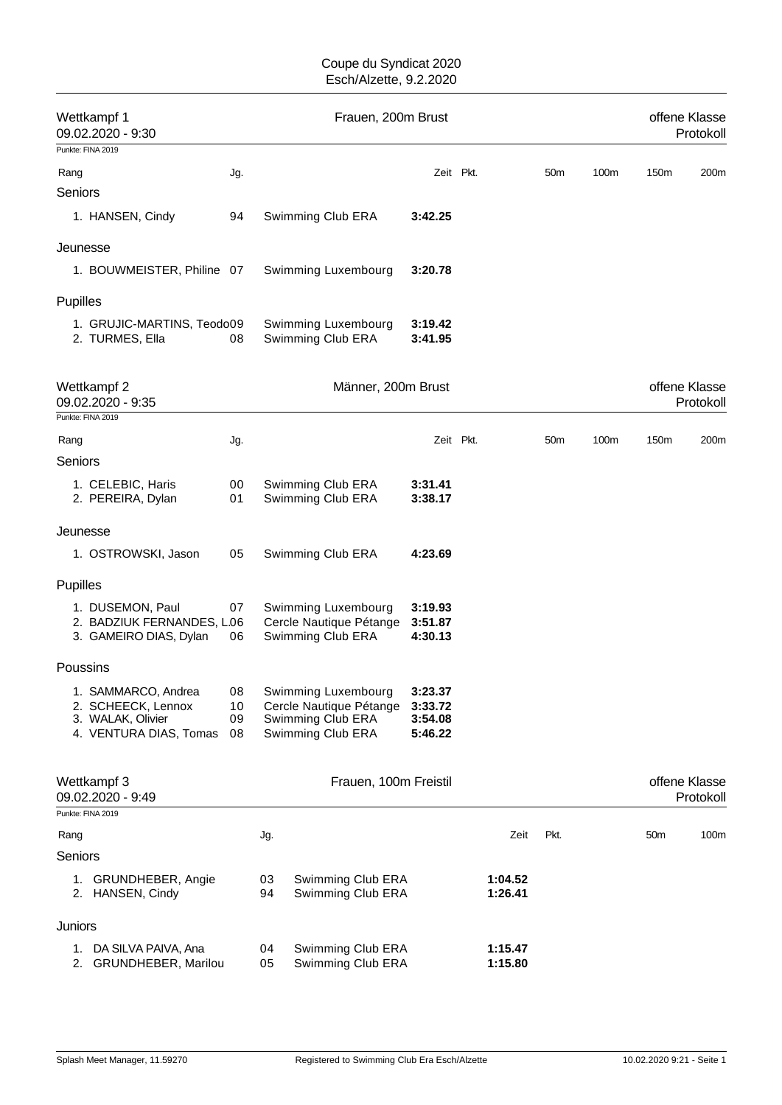| Wettkampf 1<br>09.02.2020 - 9:30 |                                                                                          |                      | Frauen, 200m Brust |                                                                                          |                                          |           |                    |                 |      |                 | offene Klasse<br>Protokoll |  |  |
|----------------------------------|------------------------------------------------------------------------------------------|----------------------|--------------------|------------------------------------------------------------------------------------------|------------------------------------------|-----------|--------------------|-----------------|------|-----------------|----------------------------|--|--|
|                                  | Punkte: FINA 2019                                                                        |                      |                    |                                                                                          |                                          |           |                    |                 |      |                 |                            |  |  |
| Rang                             |                                                                                          | Jg.                  |                    |                                                                                          |                                          | Zeit Pkt. |                    | 50 <sub>m</sub> | 100m | 150m            | 200m                       |  |  |
| Seniors                          |                                                                                          |                      |                    |                                                                                          |                                          |           |                    |                 |      |                 |                            |  |  |
|                                  | 1. HANSEN, Cindy                                                                         | 94                   |                    | Swimming Club ERA                                                                        | 3:42.25                                  |           |                    |                 |      |                 |                            |  |  |
| Jeunesse                         |                                                                                          |                      |                    |                                                                                          |                                          |           |                    |                 |      |                 |                            |  |  |
|                                  | 1. BOUWMEISTER, Philine 07                                                               |                      |                    | Swimming Luxembourg                                                                      | 3:20.78                                  |           |                    |                 |      |                 |                            |  |  |
| Pupilles                         |                                                                                          |                      |                    |                                                                                          |                                          |           |                    |                 |      |                 |                            |  |  |
|                                  | 1. GRUJIC-MARTINS, Teodo09<br>2. TURMES, Ella                                            | 08                   |                    | Swimming Luxembourg<br>Swimming Club ERA                                                 | 3:19.42<br>3:41.95                       |           |                    |                 |      |                 |                            |  |  |
|                                  | Wettkampf 2<br>09.02.2020 - 9:35                                                         |                      |                    | Männer, 200m Brust                                                                       |                                          |           |                    |                 |      |                 | offene Klasse<br>Protokoll |  |  |
|                                  | Punkte: FINA 2019                                                                        |                      |                    |                                                                                          |                                          |           |                    |                 |      |                 |                            |  |  |
| Rang                             |                                                                                          | Jg.                  |                    |                                                                                          |                                          | Zeit Pkt. |                    | 50 <sub>m</sub> | 100m | 150m            | 200m                       |  |  |
| Seniors                          |                                                                                          |                      |                    |                                                                                          |                                          |           |                    |                 |      |                 |                            |  |  |
|                                  | 1. CELEBIC, Haris<br>2. PEREIRA, Dylan                                                   | 00<br>01             |                    | Swimming Club ERA<br>Swimming Club ERA                                                   | 3:31.41<br>3:38.17                       |           |                    |                 |      |                 |                            |  |  |
| Jeunesse                         |                                                                                          |                      |                    |                                                                                          |                                          |           |                    |                 |      |                 |                            |  |  |
|                                  | 1. OSTROWSKI, Jason                                                                      | 05                   |                    | Swimming Club ERA                                                                        | 4:23.69                                  |           |                    |                 |      |                 |                            |  |  |
| Pupilles                         |                                                                                          |                      |                    |                                                                                          |                                          |           |                    |                 |      |                 |                            |  |  |
|                                  | 1. DUSEMON, Paul<br>2. BADZIUK FERNANDES, L.06                                           | 07                   |                    | Swimming Luxembourg<br>Cercle Nautique Pétange                                           | 3:19.93<br>3:51.87                       |           |                    |                 |      |                 |                            |  |  |
|                                  | 3. GAMEIRO DIAS, Dylan                                                                   | 06                   |                    | Swimming Club ERA                                                                        | 4:30.13                                  |           |                    |                 |      |                 |                            |  |  |
| Poussins                         |                                                                                          |                      |                    |                                                                                          |                                          |           |                    |                 |      |                 |                            |  |  |
|                                  | 1. SAMMARCO, Andrea<br>2. SCHEECK, Lennox<br>3. WALAK, Olivier<br>4. VENTURA DIAS, Tomas | 08<br>10<br>09<br>08 |                    | Swimming Luxembourg<br>Cercle Nautique Pétange<br>Swimming Club ERA<br>Swimming Club ERA | 3:23.37<br>3:33.72<br>3:54.08<br>5:46.22 |           |                    |                 |      |                 |                            |  |  |
|                                  | Wettkampf 3<br>09.02.2020 - 9:49                                                         |                      |                    | Frauen, 100m Freistil                                                                    |                                          |           |                    |                 |      |                 | offene Klasse<br>Protokoll |  |  |
|                                  | Punkte: FINA 2019                                                                        |                      |                    |                                                                                          |                                          |           |                    |                 |      |                 |                            |  |  |
| Rang                             |                                                                                          |                      | Jg.                |                                                                                          |                                          |           | Zeit               | Pkt.            |      | 50 <sub>m</sub> | 100m                       |  |  |
| Seniors                          |                                                                                          |                      |                    |                                                                                          |                                          |           |                    |                 |      |                 |                            |  |  |
|                                  | 1. GRUNDHEBER, Angie<br>2. HANSEN, Cindy                                                 |                      | 03<br>94           | Swimming Club ERA<br>Swimming Club ERA                                                   |                                          |           | 1:04.52<br>1:26.41 |                 |      |                 |                            |  |  |
| Juniors                          |                                                                                          |                      |                    |                                                                                          |                                          |           |                    |                 |      |                 |                            |  |  |
|                                  | DA SILVA PAIVA, Ana                                                                      |                      | 04                 | Swimming Club ERA                                                                        |                                          |           | 1:15.47            |                 |      |                 |                            |  |  |
| 1.                               | 2. GRUNDHEBER, Marilou                                                                   |                      | 05                 | Swimming Club ERA                                                                        |                                          |           | 1:15.80            |                 |      |                 |                            |  |  |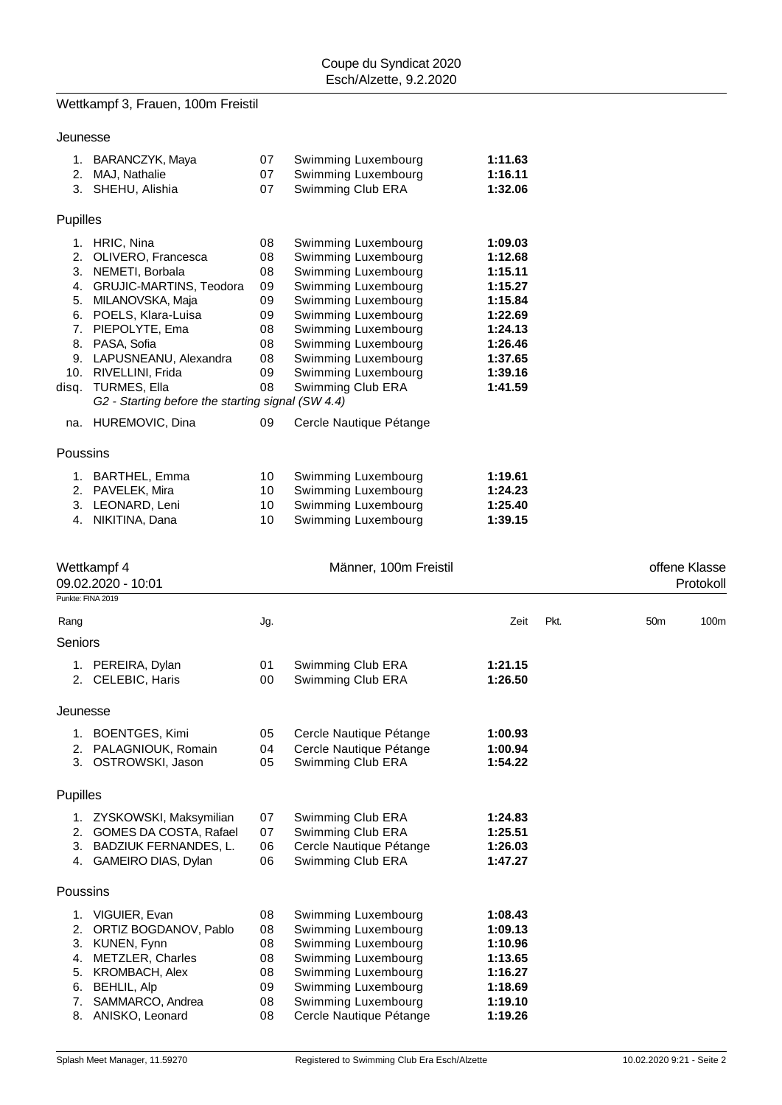# Wettkampf 3, Frauen, 100m Freistil

| Jeunesse |
|----------|
|----------|

| 1.<br>2.<br>3.                                                              | BARANCZYK, Maya<br>MAJ, Nathalie<br>SHEHU, Alishia                                                                                                                                                                                                                          | 07<br>07<br>07                                                 | Swimming Luxembourg<br>Swimming Luxembourg<br>Swimming Club ERA                                                                                                                                                                                         | 1:11.63<br>1:16.11<br>1:32.06                                                                                         |
|-----------------------------------------------------------------------------|-----------------------------------------------------------------------------------------------------------------------------------------------------------------------------------------------------------------------------------------------------------------------------|----------------------------------------------------------------|---------------------------------------------------------------------------------------------------------------------------------------------------------------------------------------------------------------------------------------------------------|-----------------------------------------------------------------------------------------------------------------------|
| Pupilles                                                                    |                                                                                                                                                                                                                                                                             |                                                                |                                                                                                                                                                                                                                                         |                                                                                                                       |
| 1.<br>2.<br>3.<br>4.<br>5.<br>6.<br>$7_{\cdot}$<br>8.<br>9.<br>10.<br>disq. | HRIC, Nina<br>OLIVERO, Francesca<br>NEMETI, Borbala<br>GRUJIC-MARTINS, Teodora<br>MILANOVSKA, Maja<br>POELS, Klara-Luisa<br>PIEPOLYTE, Ema<br>PASA, Sofia<br>LAPUSNEANU, Alexandra<br>RIVELLINI, Frida<br>TURMES, Ella<br>G2 - Starting before the starting signal (SW 4.4) | 08<br>08<br>08<br>09<br>09<br>09<br>08<br>08<br>08<br>09<br>08 | Swimming Luxembourg<br>Swimming Luxembourg<br>Swimming Luxembourg<br>Swimming Luxembourg<br>Swimming Luxembourg<br>Swimming Luxembourg<br>Swimming Luxembourg<br>Swimming Luxembourg<br>Swimming Luxembourg<br>Swimming Luxembourg<br>Swimming Club ERA | 1:09.03<br>1:12.68<br>1:15.11<br>1:15.27<br>1:15.84<br>1:22.69<br>1:24.13<br>1:26.46<br>1:37.65<br>1:39.16<br>1:41.59 |
| na.                                                                         | HUREMOVIC, Dina                                                                                                                                                                                                                                                             | 09                                                             | Cercle Nautique Pétange                                                                                                                                                                                                                                 |                                                                                                                       |
| Poussins                                                                    |                                                                                                                                                                                                                                                                             |                                                                |                                                                                                                                                                                                                                                         |                                                                                                                       |
| 1.<br>2.<br>3.                                                              | BARTHEL, Emma<br>PAVELEK, Mira<br>LEONARD, Leni                                                                                                                                                                                                                             | 10<br>10<br>10                                                 | Swimming Luxembourg<br>Swimming Luxembourg<br>Swimming Luxembourg                                                                                                                                                                                       | 1:19.61<br>1:24.23<br>1:25.40                                                                                         |

4. NIKITINA, Dana 10 Swimming Luxembourg **1:39.15**

|                 | Wettkampf 4<br>09.02.2020 - 10:01<br>Punkte: FINA 2019                                                     |                      | Männer, 100m Freistil                                                                    |                                          | offene Klasse<br>Protokoll |                 |      |
|-----------------|------------------------------------------------------------------------------------------------------------|----------------------|------------------------------------------------------------------------------------------|------------------------------------------|----------------------------|-----------------|------|
|                 |                                                                                                            |                      |                                                                                          |                                          |                            |                 |      |
| Rang            |                                                                                                            | Jg.                  |                                                                                          | Zeit                                     | Pkt.                       | 50 <sub>m</sub> | 100m |
| <b>Seniors</b>  |                                                                                                            |                      |                                                                                          |                                          |                            |                 |      |
|                 | 1. PEREIRA, Dylan<br>2. CELEBIC, Haris                                                                     | 01<br>00             | Swimming Club ERA<br>Swimming Club ERA                                                   | 1:21.15<br>1:26.50                       |                            |                 |      |
| Jeunesse        |                                                                                                            |                      |                                                                                          |                                          |                            |                 |      |
| 3.              | 1. BOENTGES, Kimi<br>2. PALAGNIOUK, Romain<br>OSTROWSKI, Jason                                             | 05<br>04<br>05       | Cercle Nautique Pétange<br>Cercle Nautique Pétange<br>Swimming Club ERA                  | 1:00.93<br>1:00.94<br>1:54.22            |                            |                 |      |
| <b>Pupilles</b> |                                                                                                            |                      |                                                                                          |                                          |                            |                 |      |
| 2.<br>3.<br>4.  | 1. ZYSKOWSKI, Maksymilian<br>GOMES DA COSTA, Rafael<br><b>BADZIUK FERNANDES, L.</b><br>GAMEIRO DIAS, Dylan | 07<br>07<br>06<br>06 | Swimming Club ERA<br>Swimming Club ERA<br>Cercle Nautique Pétange<br>Swimming Club ERA   | 1:24.83<br>1:25.51<br>1:26.03<br>1:47.27 |                            |                 |      |
| Poussins        |                                                                                                            |                      |                                                                                          |                                          |                            |                 |      |
| 2.<br>3.<br>4.  | 1. VIGUIER, Evan<br>ORTIZ BOGDANOV, Pablo<br>KUNEN, Fynn<br>METZLER, Charles                               | 08<br>08<br>08<br>08 | Swimming Luxembourg<br>Swimming Luxembourg<br>Swimming Luxembourg<br>Swimming Luxembourg | 1:08.43<br>1:09.13<br>1:10.96<br>1:13.65 |                            |                 |      |
| 5.<br>6.<br>7.  | <b>KROMBACH, Alex</b><br><b>BEHLIL, Alp</b><br>SAMMARCO, Andrea                                            | 08<br>09<br>08       | Swimming Luxembourg<br>Swimming Luxembourg<br>Swimming Luxembourg                        | 1:16.27<br>1:18.69<br>1:19.10            |                            |                 |      |
| 8.              | ANISKO, Leonard                                                                                            | 08                   | Cercle Nautique Pétange                                                                  | 1:19.26                                  |                            |                 |      |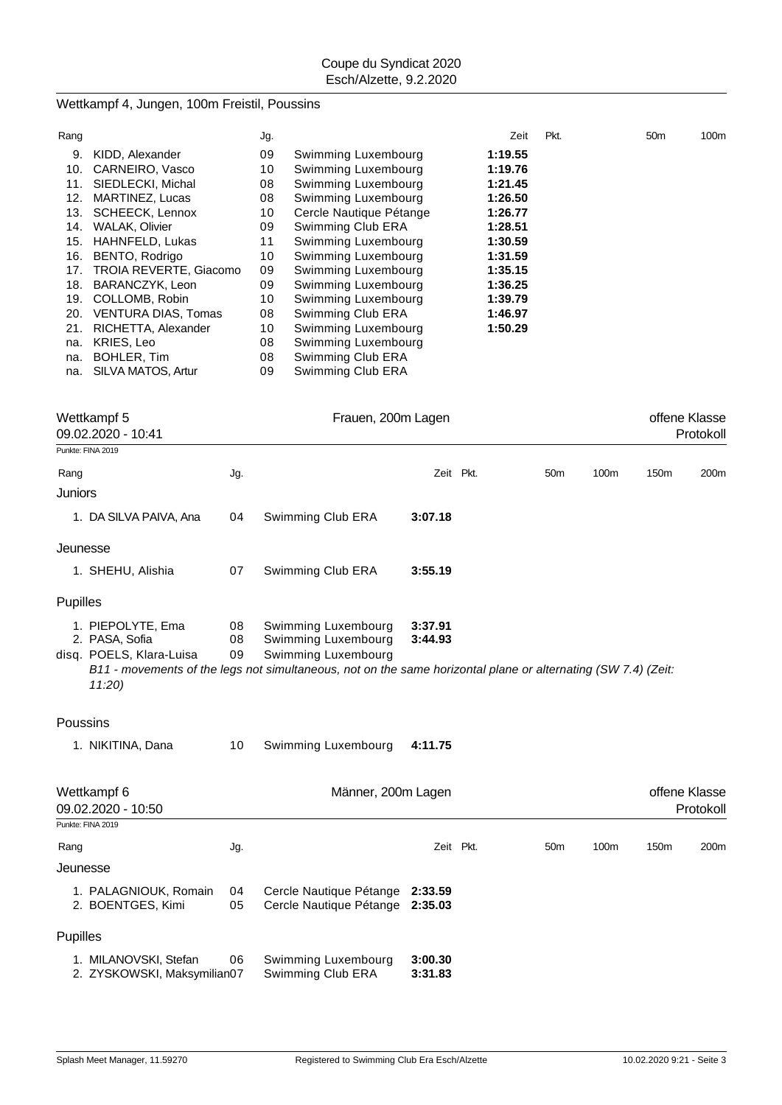# Wettkampf 4, Jungen, 100m Freistil, Poussins

| Rang |                               | Jg. |                         | Zeit    | Pkt. | 50 <sub>m</sub> | 100m |
|------|-------------------------------|-----|-------------------------|---------|------|-----------------|------|
| 9.   | KIDD, Alexander               | 09  | Swimming Luxembourg     | 1:19.55 |      |                 |      |
| 10.  | CARNEIRO, Vasco               | 10  | Swimming Luxembourg     | 1:19.76 |      |                 |      |
| 11.  | SIEDLECKI, Michal             | 08  | Swimming Luxembourg     | 1:21.45 |      |                 |      |
| 12.  | MARTINEZ, Lucas               | 08  | Swimming Luxembourg     | 1:26.50 |      |                 |      |
| 13.  | SCHEECK, Lennox               | 10  | Cercle Nautique Pétange | 1:26.77 |      |                 |      |
| 14.  | WALAK, Olivier                | 09  | Swimming Club ERA       | 1:28.51 |      |                 |      |
| 15.  | HAHNFELD, Lukas               | 11  | Swimming Luxembourg     | 1:30.59 |      |                 |      |
| 16.  | BENTO, Rodrigo                | 10  | Swimming Luxembourg     | 1:31.59 |      |                 |      |
| 17.  | <b>TROIA REVERTE, Giacomo</b> | 09  | Swimming Luxembourg     | 1:35.15 |      |                 |      |
| 18.  | BARANCZYK, Leon               | 09  | Swimming Luxembourg     | 1:36.25 |      |                 |      |
| 19.  | COLLOMB, Robin                | 10  | Swimming Luxembourg     | 1:39.79 |      |                 |      |
| 20.  | <b>VENTURA DIAS, Tomas</b>    | 08  | Swimming Club ERA       | 1:46.97 |      |                 |      |
| 21.  | RICHETTA, Alexander           | 10  | Swimming Luxembourg     | 1:50.29 |      |                 |      |
| na.  | KRIES, Leo                    | 08  | Swimming Luxembourg     |         |      |                 |      |
| na.  | BOHLER, Tim                   | 08  | Swimming Club ERA       |         |      |                 |      |
| na.  | SILVA MATOS, Artur            | 09  | Swimming Club ERA       |         |      |                 |      |

|                 | Wettkampf 5<br>09.02.2020 - 10:41                                        |                | Frauen, 200m Lagen                                                                                                                                                                 |                    |                 |      |                  | offene Klasse<br>Protokoll |
|-----------------|--------------------------------------------------------------------------|----------------|------------------------------------------------------------------------------------------------------------------------------------------------------------------------------------|--------------------|-----------------|------|------------------|----------------------------|
|                 | Punkte: FINA 2019                                                        |                |                                                                                                                                                                                    |                    |                 |      |                  |                            |
| Rang            |                                                                          | Jg.            |                                                                                                                                                                                    | Zeit Pkt.          | 50 <sub>m</sub> | 100m | 150m             | 200m                       |
| Juniors         |                                                                          |                |                                                                                                                                                                                    |                    |                 |      |                  |                            |
|                 | 1. DA SILVA PAIVA, Ana                                                   | 04             | Swimming Club ERA                                                                                                                                                                  | 3:07.18            |                 |      |                  |                            |
| Jeunesse        |                                                                          |                |                                                                                                                                                                                    |                    |                 |      |                  |                            |
|                 | 1. SHEHU, Alishia                                                        | 07             | Swimming Club ERA                                                                                                                                                                  | 3:55.19            |                 |      |                  |                            |
| <b>Pupilles</b> |                                                                          |                |                                                                                                                                                                                    |                    |                 |      |                  |                            |
|                 | 1. PIEPOLYTE, Ema<br>2. PASA, Sofia<br>disq. POELS, Klara-Luisa<br>11:20 | 08<br>08<br>09 | Swimming Luxembourg<br>Swimming Luxembourg<br>Swimming Luxembourg<br>B11 - movements of the legs not simultaneous, not on the same horizontal plane or alternating (SW 7.4) (Zeit: | 3:37.91<br>3:44.93 |                 |      |                  |                            |
| Poussins        |                                                                          |                |                                                                                                                                                                                    |                    |                 |      |                  |                            |
|                 | 1. NIKITINA, Dana                                                        | 10             | Swimming Luxembourg                                                                                                                                                                | 4:11.75            |                 |      |                  |                            |
|                 | Wettkampf 6<br>09.02.2020 - 10:50                                        |                | Männer, 200m Lagen                                                                                                                                                                 |                    |                 |      |                  | offene Klasse<br>Protokoll |
|                 | Punkte: FINA 2019                                                        |                |                                                                                                                                                                                    |                    |                 |      |                  |                            |
| Rang            |                                                                          | Jg.            |                                                                                                                                                                                    | Zeit Pkt.          | 50 <sub>m</sub> | 100m | 150 <sub>m</sub> | 200 <sub>m</sub>           |
|                 | Jeunesse                                                                 |                |                                                                                                                                                                                    |                    |                 |      |                  |                            |
|                 | 1. PALAGNIOUK, Romain<br>2. BOENTGES, Kimi                               | 04<br>05       | Cercle Nautique Pétange 2:33.59<br>Cercle Nautique Pétange 2:35.03                                                                                                                 |                    |                 |      |                  |                            |
| Pupilles        |                                                                          |                |                                                                                                                                                                                    |                    |                 |      |                  |                            |
|                 | 1. MILANOVSKI, Stefan<br>2. ZYSKOWSKI, Maksymilian07                     | 06             | Swimming Luxembourg<br>Swimming Club ERA                                                                                                                                           | 3:00.30<br>3:31.83 |                 |      |                  |                            |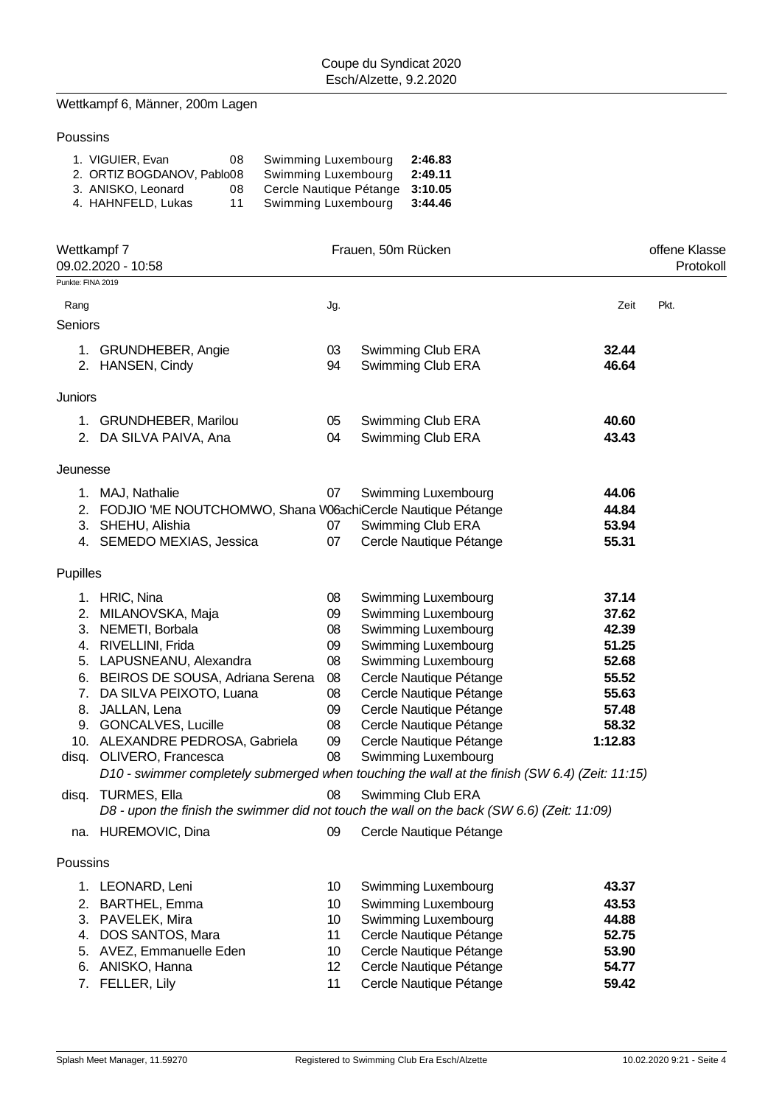# Wettkampf 6, Männer, 200m Lagen

## Poussins

| 1. VIGUIER, Evan           | 08 | Swimming Luxembourg             | 2:46.83 |
|----------------------------|----|---------------------------------|---------|
| 2. ORTIZ BOGDANOV, Pablo08 |    | Swimming Luxembourg             | 2:49.11 |
| 3. ANISKO, Leonard         | 08 | Cercle Nautique Pétange 3:10.05 |         |
| 4. HAHNFELD, Lukas         | 11 | Swimming Luxembourg             | 3:44.46 |

|                   | Wettkampf 7<br>09.02.2020 - 10:58                                                                                 |                 | Frauen, 50m Rücken                     |                |      |  |  |  |
|-------------------|-------------------------------------------------------------------------------------------------------------------|-----------------|----------------------------------------|----------------|------|--|--|--|
| Punkte: FINA 2019 |                                                                                                                   |                 |                                        |                |      |  |  |  |
| Rang              |                                                                                                                   | Jg.             |                                        | Zeit           | Pkt. |  |  |  |
| Seniors           |                                                                                                                   |                 |                                        |                |      |  |  |  |
|                   | 1. GRUNDHEBER, Angie<br>2. HANSEN, Cindy                                                                          | 03<br>94        | Swimming Club ERA<br>Swimming Club ERA | 32.44<br>46.64 |      |  |  |  |
| Juniors           |                                                                                                                   |                 |                                        |                |      |  |  |  |
|                   | 1. GRUNDHEBER, Marilou                                                                                            | 05              | Swimming Club ERA                      | 40.60          |      |  |  |  |
|                   | 2. DA SILVA PAIVA, Ana                                                                                            | 04              | Swimming Club ERA                      | 43.43          |      |  |  |  |
| Jeunesse          |                                                                                                                   |                 |                                        |                |      |  |  |  |
|                   | 1. MAJ, Nathalie                                                                                                  | 07              | Swimming Luxembourg                    | 44.06          |      |  |  |  |
|                   | 2. FODJIO 'ME NOUTCHOMWO, Shana W63chiCercle Nautique Pétange                                                     |                 |                                        | 44.84          |      |  |  |  |
|                   | 3. SHEHU, Alishia                                                                                                 | 07              | Swimming Club ERA                      | 53.94          |      |  |  |  |
|                   | 4. SEMEDO MEXIAS, Jessica                                                                                         | 07              | Cercle Nautique Pétange                | 55.31          |      |  |  |  |
| Pupilles          |                                                                                                                   |                 |                                        |                |      |  |  |  |
|                   | 1. HRIC, Nina                                                                                                     | 08              | Swimming Luxembourg                    | 37.14          |      |  |  |  |
|                   | 2. MILANOVSKA, Maja                                                                                               | 09              | Swimming Luxembourg                    | 37.62          |      |  |  |  |
|                   | 3. NEMETI, Borbala                                                                                                | 08              | Swimming Luxembourg                    | 42.39          |      |  |  |  |
|                   | 4. RIVELLINI, Frida                                                                                               | 09              | Swimming Luxembourg                    | 51.25          |      |  |  |  |
|                   | 5. LAPUSNEANU, Alexandra                                                                                          | 08              | Swimming Luxembourg                    | 52.68          |      |  |  |  |
|                   | 6. BEIROS DE SOUSA, Adriana Serena                                                                                | 08              | Cercle Nautique Pétange                | 55.52          |      |  |  |  |
|                   | 7. DA SILVA PEIXOTO, Luana                                                                                        | 08              | Cercle Nautique Pétange                | 55.63          |      |  |  |  |
| 8.                | JALLAN, Lena                                                                                                      | 09              | Cercle Nautique Pétange                | 57.48          |      |  |  |  |
|                   | 9. GONCALVES, Lucille                                                                                             | 08              | Cercle Nautique Pétange                | 58.32          |      |  |  |  |
|                   | 10. ALEXANDRE PEDROSA, Gabriela                                                                                   | 09              | Cercle Nautique Pétange                | 1:12.83        |      |  |  |  |
|                   | disq. OLIVERO, Francesca                                                                                          | 08              | Swimming Luxembourg                    |                |      |  |  |  |
|                   | D10 - swimmer completely submerged when touching the wall at the finish (SW 6.4) (Zeit: 11:15)                    |                 |                                        |                |      |  |  |  |
| disq.             | <b>TURMES, Ella</b><br>D8 - upon the finish the swimmer did not touch the wall on the back (SW 6.6) (Zeit: 11:09) | 08              | Swimming Club ERA                      |                |      |  |  |  |
|                   | na. HUREMOVIC, Dina                                                                                               | 09              | Cercle Nautique Pétange                |                |      |  |  |  |
| Poussins          |                                                                                                                   |                 |                                        |                |      |  |  |  |
|                   | 1. LEONARD, Leni                                                                                                  | 10              | Swimming Luxembourg                    | 43.37          |      |  |  |  |
| 2.                | <b>BARTHEL, Emma</b>                                                                                              | 10 <sup>°</sup> | Swimming Luxembourg                    | 43.53          |      |  |  |  |
|                   | 3. PAVELEK, Mira                                                                                                  | 10 <sup>°</sup> | Swimming Luxembourg                    | 44.88          |      |  |  |  |
| 4.                | DOS SANTOS, Mara                                                                                                  | 11              | Cercle Nautique Pétange                | 52.75          |      |  |  |  |
|                   | 5. AVEZ, Emmanuelle Eden                                                                                          | 10              | Cercle Nautique Pétange                | 53.90          |      |  |  |  |
|                   | 6. ANISKO, Hanna                                                                                                  | 12              | Cercle Nautique Pétange                | 54.77          |      |  |  |  |

7. FELLER, Lily 11 Cercle Nautique Pétange **59.42**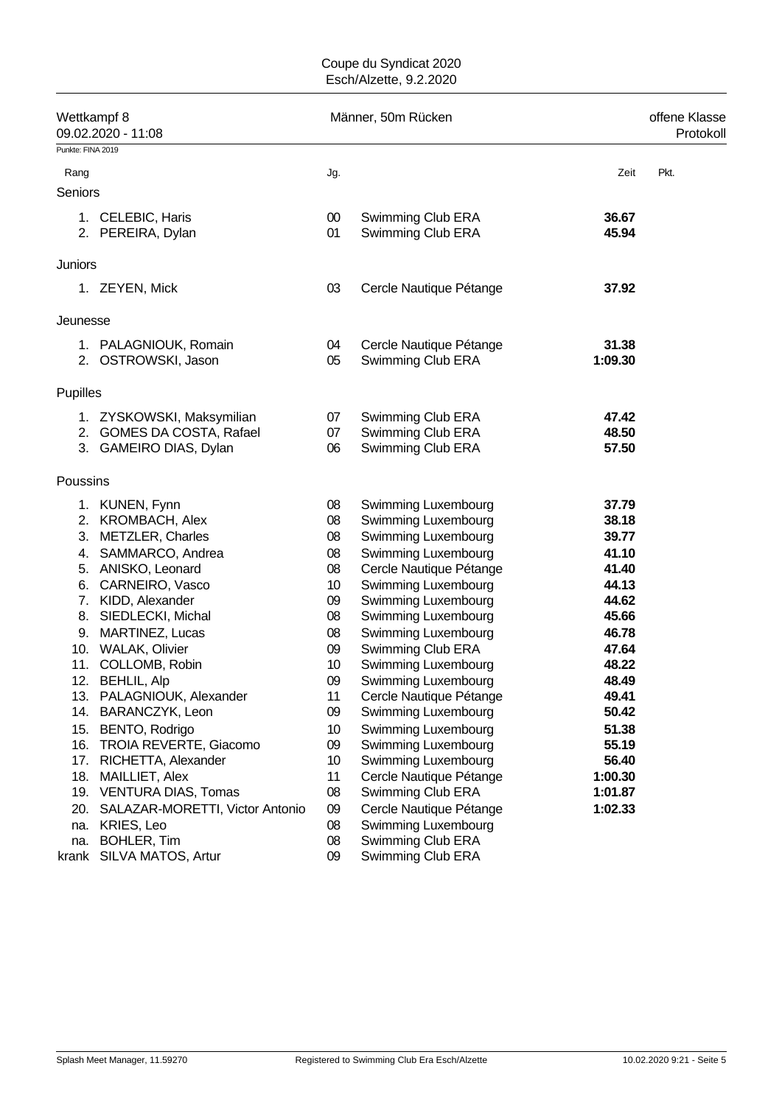| Wettkampf 8<br>09.02.2020 - 11:08 |                                                                                  |                 | Männer, 50m Rücken                                          |                         |      |  |  |  |
|-----------------------------------|----------------------------------------------------------------------------------|-----------------|-------------------------------------------------------------|-------------------------|------|--|--|--|
| Punkte: FINA 2019                 |                                                                                  |                 |                                                             |                         |      |  |  |  |
| Rang                              |                                                                                  | Jg.             |                                                             | Zeit                    | Pkt. |  |  |  |
| Seniors                           |                                                                                  |                 |                                                             |                         |      |  |  |  |
|                                   | 1. CELEBIC, Haris<br>2. PEREIRA, Dylan                                           | $00\,$<br>01    | Swimming Club ERA<br>Swimming Club ERA                      | 36.67<br>45.94          |      |  |  |  |
| Juniors                           |                                                                                  |                 |                                                             |                         |      |  |  |  |
|                                   | 1. ZEYEN, Mick                                                                   | 03              | Cercle Nautique Pétange                                     | 37.92                   |      |  |  |  |
| Jeunesse                          |                                                                                  |                 |                                                             |                         |      |  |  |  |
|                                   | 1. PALAGNIOUK, Romain<br>2. OSTROWSKI, Jason                                     | 04<br>05        | Cercle Nautique Pétange<br>Swimming Club ERA                | 31.38<br>1:09.30        |      |  |  |  |
| Pupilles                          |                                                                                  |                 |                                                             |                         |      |  |  |  |
|                                   | 1. ZYSKOWSKI, Maksymilian<br>2. GOMES DA COSTA, Rafael<br>3. GAMEIRO DIAS, Dylan | 07<br>07<br>06  | Swimming Club ERA<br>Swimming Club ERA<br>Swimming Club ERA | 47.42<br>48.50<br>57.50 |      |  |  |  |
| Poussins                          |                                                                                  |                 |                                                             |                         |      |  |  |  |
|                                   | 1. KUNEN, Fynn<br>2. KROMBACH, Alex                                              | 08<br>08        | Swimming Luxembourg<br>Swimming Luxembourg                  | 37.79<br>38.18          |      |  |  |  |
|                                   | 3. METZLER, Charles                                                              | 08              | Swimming Luxembourg                                         | 39.77                   |      |  |  |  |
|                                   | 4. SAMMARCO, Andrea                                                              | 08              | Swimming Luxembourg                                         | 41.10                   |      |  |  |  |
|                                   | 5. ANISKO, Leonard<br>6. CARNEIRO, Vasco                                         | 08<br>10        | Cercle Nautique Pétange<br>Swimming Luxembourg              | 41.40<br>44.13          |      |  |  |  |
|                                   | 7. KIDD, Alexander                                                               | 09              | Swimming Luxembourg                                         | 44.62                   |      |  |  |  |
|                                   | 8. SIEDLECKI, Michal                                                             | 08              | Swimming Luxembourg                                         | 45.66                   |      |  |  |  |
| 9.                                | <b>MARTINEZ, Lucas</b>                                                           | 08              | Swimming Luxembourg                                         | 46.78                   |      |  |  |  |
|                                   | 10. WALAK, Olivier                                                               | 09              | Swimming Club ERA                                           | 47.64                   |      |  |  |  |
|                                   | 11. COLLOMB, Robin                                                               | 10              | Swimming Luxembourg                                         | 48.22                   |      |  |  |  |
|                                   | 12. BEHLIL, Alp                                                                  | 09              | Swimming Luxembourg                                         | 48.49                   |      |  |  |  |
|                                   | 13. PALAGNIOUK, Alexander                                                        | 11              | Cercle Nautique Pétange                                     | 49.41                   |      |  |  |  |
|                                   | 14. BARANCZYK, Leon                                                              | 09              | Swimming Luxembourg                                         | 50.42                   |      |  |  |  |
|                                   | 15. BENTO, Rodrigo                                                               | 10              | Swimming Luxembourg                                         | 51.38                   |      |  |  |  |
|                                   | 16. TROIA REVERTE, Giacomo                                                       | 09              | Swimming Luxembourg                                         | 55.19                   |      |  |  |  |
|                                   | 17. RICHETTA, Alexander                                                          | 10 <sup>1</sup> | Swimming Luxembourg                                         | 56.40                   |      |  |  |  |
|                                   | 18. MAILLIET, Alex                                                               | 11              | Cercle Nautique Pétange                                     | 1:00.30                 |      |  |  |  |
|                                   | 19. VENTURA DIAS, Tomas                                                          | 08              | Swimming Club ERA                                           | 1:01.87                 |      |  |  |  |
| 20.                               | SALAZAR-MORETTI, Victor Antonio                                                  | 09              | Cercle Nautique Pétange                                     | 1:02.33                 |      |  |  |  |
| na.                               | KRIES, Leo                                                                       | 08              | Swimming Luxembourg<br>Swimming Club ERA                    |                         |      |  |  |  |
| na.                               | <b>BOHLER, Tim</b><br>krank SILVA MATOS, Artur                                   | 08<br>09        | Swimming Club ERA                                           |                         |      |  |  |  |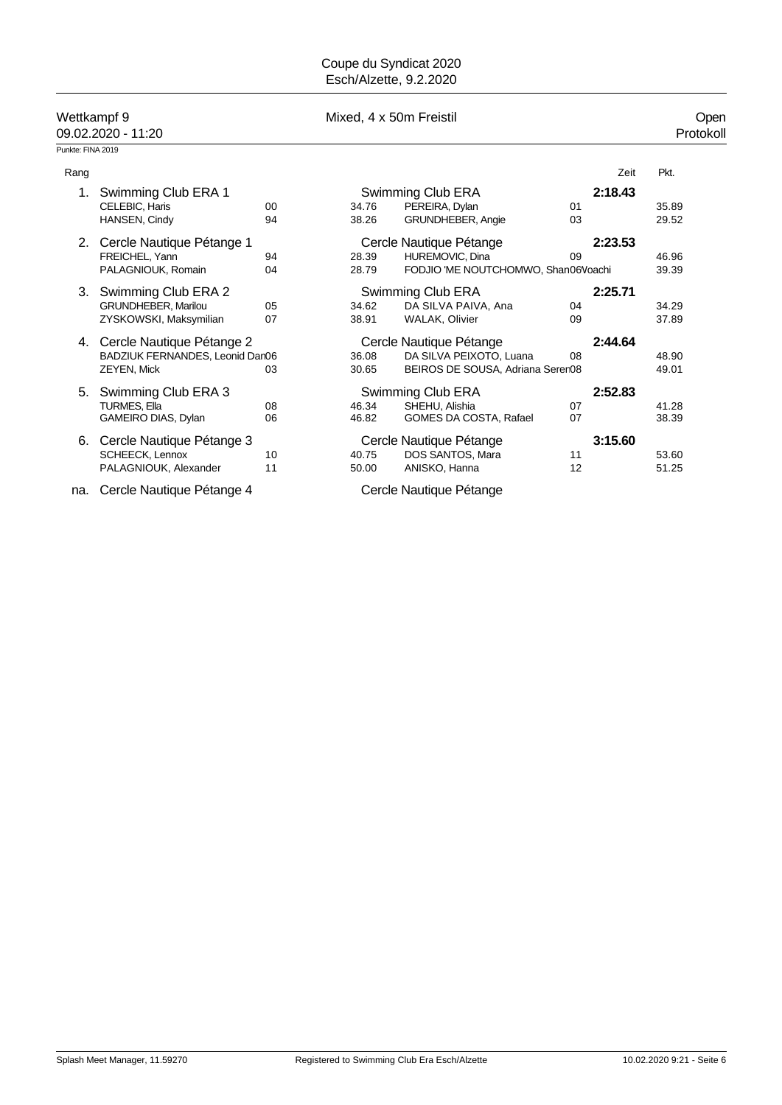### 09.02.2020 - 11:20

Punkte: FINA 2019

Wettkampf 9 Mixed, 4 x 50m Freistil Open

| Rang |                                 |    |       |                                     |    | Zeit    | Pkt.  |
|------|---------------------------------|----|-------|-------------------------------------|----|---------|-------|
|      | Swimming Club ERA 1             |    |       | Swimming Club ERA                   |    | 2:18.43 |       |
|      | CELEBIC, Haris                  | 00 | 34.76 | PEREIRA, Dylan                      | 01 |         | 35.89 |
|      | HANSEN, Cindy                   | 94 | 38.26 | <b>GRUNDHEBER, Angie</b>            | 03 |         | 29.52 |
| 2.   | Cercle Nautique Pétange 1       |    |       | Cercle Nautique Pétange             |    | 2:23.53 |       |
|      | FREICHEL, Yann                  | 94 | 28.39 | HUREMOVIC, Dina                     | 09 |         | 46.96 |
|      | PALAGNIOUK, Romain              | 04 | 28.79 | FODJIO 'ME NOUTCHOMWO, Shan06Voachi |    |         | 39.39 |
| 3.   | Swimming Club ERA 2             |    |       | Swimming Club ERA                   |    | 2:25.71 |       |
|      | GRUNDHEBER, Marilou             | 05 | 34.62 | DA SILVA PAIVA, Ana                 | 04 |         | 34.29 |
|      | ZYSKOWSKI, Maksymilian          | 07 | 38.91 | <b>WALAK, Olivier</b>               | 09 |         | 37.89 |
| 4.   | Cercle Nautique Pétange 2       |    |       | Cercle Nautique Pétange             |    | 2:44.64 |       |
|      | BADZIUK FERNANDES, Leonid Dan06 |    | 36.08 | DA SILVA PEIXOTO, Luana             | 08 |         | 48.90 |
|      | <b>ZEYEN, Mick</b>              | 03 | 30.65 | BEIROS DE SOUSA, Adriana Seren08    |    |         | 49.01 |
| 5.   | Swimming Club ERA 3             |    |       | Swimming Club ERA                   |    | 2:52.83 |       |
|      | TURMES, Ella                    | 08 | 46.34 | SHEHU, Alishia                      | 07 |         | 41.28 |
|      | GAMEIRO DIAS, Dylan             | 06 | 46.82 | GOMES DA COSTA, Rafael              | 07 |         | 38.39 |
| 6.   | Cercle Nautique Pétange 3       |    |       | Cercle Nautique Pétange             |    | 3:15.60 |       |
|      | <b>SCHEECK, Lennox</b>          | 10 | 40.75 | DOS SANTOS, Mara                    | 11 |         | 53.60 |
|      | PALAGNIOUK, Alexander           | 11 | 50.00 | ANISKO, Hanna                       | 12 |         | 51.25 |

na. Cercle Nautique Pétange 4 Cercle Nautique Pétange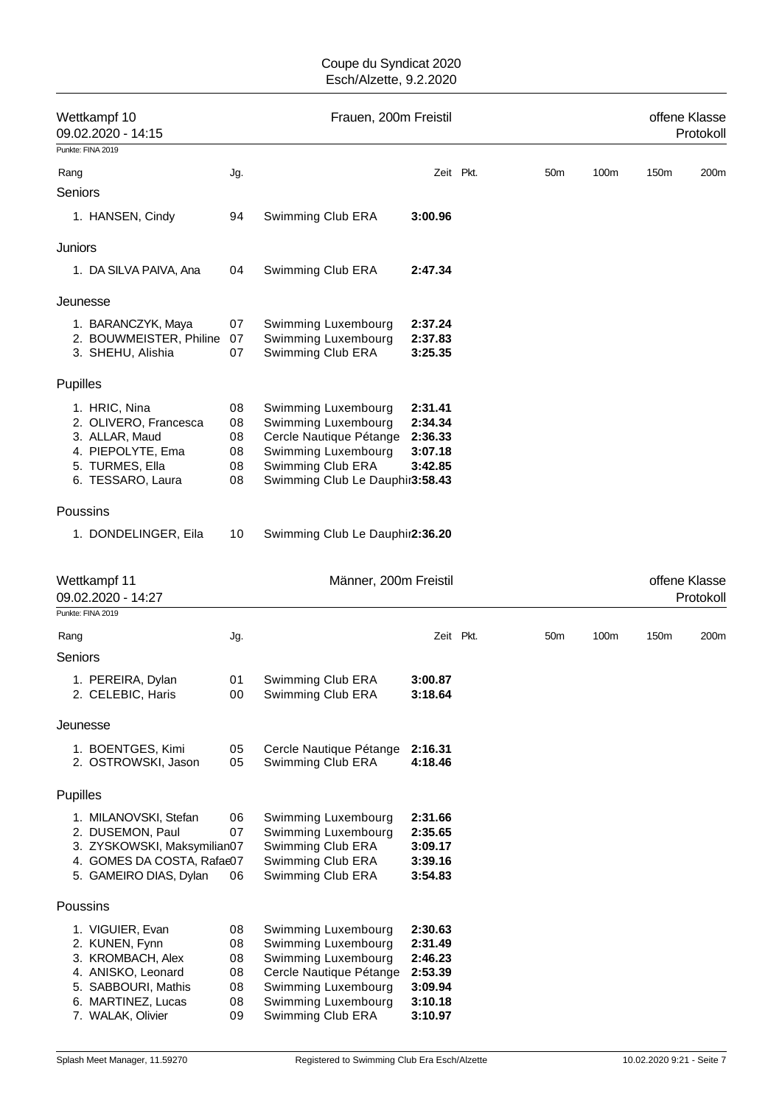|          | Wettkampf 10<br>09.02.2020 - 14:15        |          | Frauen, 200m Freistil                          |                    |           |                 | offene Klasse<br>Protokoll |      |                            |
|----------|-------------------------------------------|----------|------------------------------------------------|--------------------|-----------|-----------------|----------------------------|------|----------------------------|
|          | Punkte: FINA 2019                         |          |                                                |                    |           |                 |                            |      |                            |
| Rang     |                                           | Jg.      |                                                |                    | Zeit Pkt. | 50 <sub>m</sub> | 100m                       | 150m | 200m                       |
| Seniors  |                                           |          |                                                |                    |           |                 |                            |      |                            |
|          | 1. HANSEN, Cindy                          | 94       | Swimming Club ERA                              | 3:00.96            |           |                 |                            |      |                            |
| Juniors  |                                           |          |                                                |                    |           |                 |                            |      |                            |
|          | 1. DA SILVA PAIVA, Ana                    | 04       | Swimming Club ERA                              | 2:47.34            |           |                 |                            |      |                            |
| Jeunesse |                                           |          |                                                |                    |           |                 |                            |      |                            |
|          | 1. BARANCZYK, Maya                        | 07       | Swimming Luxembourg                            | 2:37.24            |           |                 |                            |      |                            |
|          | 2. BOUWMEISTER, Philine                   | 07       | Swimming Luxembourg                            | 2:37.83            |           |                 |                            |      |                            |
|          | 3. SHEHU, Alishia                         | 07       | Swimming Club ERA                              | 3:25.35            |           |                 |                            |      |                            |
| Pupilles |                                           |          |                                                |                    |           |                 |                            |      |                            |
|          | 1. HRIC, Nina                             | 08       | Swimming Luxembourg                            | 2:31.41            |           |                 |                            |      |                            |
|          | 2. OLIVERO, Francesca                     | 08       | Swimming Luxembourg                            | 2:34.34            |           |                 |                            |      |                            |
|          | 3. ALLAR, Maud                            | 08       | Cercle Nautique Pétange                        | 2:36.33            |           |                 |                            |      |                            |
|          | 4. PIEPOLYTE, Ema<br>5. TURMES, Ella      | 08<br>08 | Swimming Luxembourg<br>Swimming Club ERA       | 3:07.18<br>3:42.85 |           |                 |                            |      |                            |
|          | 6. TESSARO, Laura                         | 08       | Swimming Club Le Dauphir3:58.43                |                    |           |                 |                            |      |                            |
| Poussins |                                           |          |                                                |                    |           |                 |                            |      |                            |
|          | 1. DONDELINGER, Eila                      | 10       | Swimming Club Le Dauphir2:36.20                |                    |           |                 |                            |      |                            |
|          | Wettkampf 11<br>09.02.2020 - 14:27        |          | Männer, 200m Freistil                          |                    |           |                 |                            |      | offene Klasse<br>Protokoll |
|          | Punkte: FINA 2019                         |          |                                                |                    |           |                 |                            |      |                            |
| Rang     |                                           | Jg.      |                                                |                    | Zeit Pkt. | 50 <sub>m</sub> | 100m                       | 150m | 200m                       |
| Seniors  |                                           |          |                                                |                    |           |                 |                            |      |                            |
|          | 1. PEREIRA, Dylan                         | 01       | Swimming Club ERA                              | 3:00.87            |           |                 |                            |      |                            |
|          | 2. CELEBIC, Haris                         | 00       | Swimming Club ERA                              | 3:18.64            |           |                 |                            |      |                            |
| Jeunesse |                                           |          |                                                |                    |           |                 |                            |      |                            |
|          | 1. BOENTGES, Kimi                         | 05       | Cercle Nautique Pétange                        | 2:16.31            |           |                 |                            |      |                            |
|          | 2. OSTROWSKI, Jason                       | 05       | Swimming Club ERA                              | 4:18.46            |           |                 |                            |      |                            |
| Pupilles |                                           |          |                                                |                    |           |                 |                            |      |                            |
|          | 1. MILANOVSKI, Stefan                     | 06       | Swimming Luxembourg                            | 2:31.66            |           |                 |                            |      |                            |
|          | 2. DUSEMON, Paul                          | 07       | Swimming Luxembourg                            | 2:35.65            |           |                 |                            |      |                            |
|          | 3. ZYSKOWSKI, Maksymilian07               |          | Swimming Club ERA                              | 3:09.17            |           |                 |                            |      |                            |
|          | 4. GOMES DA COSTA, Rafae07                |          | Swimming Club ERA                              | 3:39.16            |           |                 |                            |      |                            |
|          | 5. GAMEIRO DIAS, Dylan                    | 06       | Swimming Club ERA                              | 3:54.83            |           |                 |                            |      |                            |
| Poussins |                                           |          |                                                |                    |           |                 |                            |      |                            |
|          | 1. VIGUIER, Evan                          | 08       | Swimming Luxembourg                            | 2:30.63            |           |                 |                            |      |                            |
|          | 2. KUNEN, Fynn                            | 08       | Swimming Luxembourg                            | 2:31.49            |           |                 |                            |      |                            |
|          | 3. KROMBACH, Alex                         | 08       | Swimming Luxembourg                            | 2:46.23            |           |                 |                            |      |                            |
|          | 4. ANISKO, Leonard<br>5. SABBOURI, Mathis | 08<br>08 | Cercle Nautique Pétange<br>Swimming Luxembourg | 2:53.39<br>3:09.94 |           |                 |                            |      |                            |
|          | 6. MARTINEZ, Lucas                        | 08       | Swimming Luxembourg                            | 3:10.18            |           |                 |                            |      |                            |
|          | 7. WALAK, Olivier                         | 09       | Swimming Club ERA                              | 3:10.97            |           |                 |                            |      |                            |
|          |                                           |          |                                                |                    |           |                 |                            |      |                            |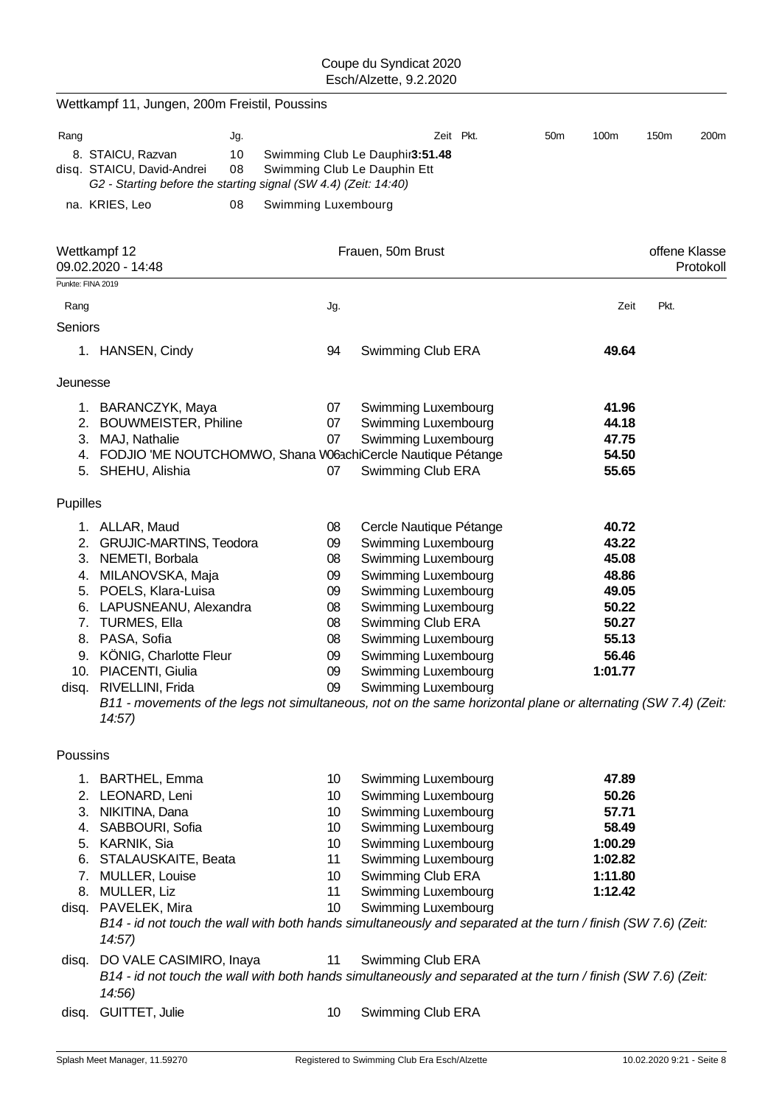|          | Wettkampf 11, Jungen, 200m Freistil, Poussins                                                                           |          |                     |                 |                                                                 |           |                 |         |               |           |
|----------|-------------------------------------------------------------------------------------------------------------------------|----------|---------------------|-----------------|-----------------------------------------------------------------|-----------|-----------------|---------|---------------|-----------|
| Rang     |                                                                                                                         | Jg.      |                     |                 |                                                                 | Zeit Pkt. | 50 <sub>m</sub> | 100m    | 150m          | 200m      |
|          | 8. STAICU, Razvan<br>disq. STAICU, David-Andrei<br>G2 - Starting before the starting signal (SW 4.4) (Zeit: 14:40)      | 10<br>08 |                     |                 | Swimming Club Le Dauphir3:51.48<br>Swimming Club Le Dauphin Ett |           |                 |         |               |           |
|          | na. KRIES, Leo                                                                                                          | 08       | Swimming Luxembourg |                 |                                                                 |           |                 |         |               |           |
|          | Wettkampf 12<br>09.02.2020 - 14:48                                                                                      |          |                     |                 | Frauen, 50m Brust                                               |           |                 |         | offene Klasse | Protokoll |
|          | Punkte: FINA 2019                                                                                                       |          |                     |                 |                                                                 |           |                 |         |               |           |
| Rang     |                                                                                                                         |          |                     | Jg.             |                                                                 |           |                 | Zeit    | Pkt.          |           |
| Seniors  |                                                                                                                         |          |                     |                 |                                                                 |           |                 |         |               |           |
|          | 1. HANSEN, Cindy                                                                                                        |          |                     | 94              | Swimming Club ERA                                               |           |                 | 49.64   |               |           |
| Jeunesse |                                                                                                                         |          |                     |                 |                                                                 |           |                 |         |               |           |
|          | 1. BARANCZYK, Maya                                                                                                      |          |                     | 07              | <b>Swimming Luxembourg</b>                                      |           |                 | 41.96   |               |           |
|          | 2. BOUWMEISTER, Philine                                                                                                 |          |                     | 07              | Swimming Luxembourg                                             |           |                 | 44.18   |               |           |
|          | 3. MAJ, Nathalie                                                                                                        |          |                     | 07              | Swimming Luxembourg                                             |           |                 | 47.75   |               |           |
|          | 4. FODJIO 'ME NOUTCHOMWO, Shana W63chiCercle Nautique Pétange                                                           |          |                     |                 |                                                                 |           |                 | 54.50   |               |           |
|          | 5. SHEHU, Alishia                                                                                                       |          |                     | 07              | Swimming Club ERA                                               |           |                 | 55.65   |               |           |
| Pupilles |                                                                                                                         |          |                     |                 |                                                                 |           |                 |         |               |           |
|          | 1. ALLAR, Maud                                                                                                          |          |                     | 08              | Cercle Nautique Pétange                                         |           |                 | 40.72   |               |           |
|          | 2. GRUJIC-MARTINS, Teodora                                                                                              |          |                     | 09              | Swimming Luxembourg                                             |           |                 | 43.22   |               |           |
|          | 3. NEMETI, Borbala                                                                                                      |          |                     | 08              | Swimming Luxembourg                                             |           |                 | 45.08   |               |           |
|          | 4. MILANOVSKA, Maja                                                                                                     |          |                     | 09              | Swimming Luxembourg                                             |           |                 | 48.86   |               |           |
|          | 5. POELS, Klara-Luisa                                                                                                   |          |                     | 09              | Swimming Luxembourg                                             |           |                 | 49.05   |               |           |
|          | 6. LAPUSNEANU, Alexandra                                                                                                |          |                     | 08              | Swimming Luxembourg                                             |           |                 | 50.22   |               |           |
| 7.       | <b>TURMES, Ella</b>                                                                                                     |          |                     | 08              | Swimming Club ERA                                               |           |                 | 50.27   |               |           |
|          | 8. PASA, Sofia                                                                                                          |          |                     | 08              | Swimming Luxembourg                                             |           |                 | 55.13   |               |           |
|          | 9. KÖNIG, Charlotte Fleur                                                                                               |          |                     | 09              | Swimming Luxembourg                                             |           |                 | 56.46   |               |           |
|          | 10. PIACENTI, Giulia                                                                                                    |          |                     | 09              | Swimming Luxembourg                                             |           |                 | 1:01.77 |               |           |
|          | disq. RIVELLINI, Frida                                                                                                  |          |                     | 09              | <b>Swimming Luxembourg</b>                                      |           |                 |         |               |           |
|          | B11 - movements of the legs not simultaneous, not on the same horizontal plane or alternating (SW 7.4) (Zeit:<br>14:57) |          |                     |                 |                                                                 |           |                 |         |               |           |
| Poussins |                                                                                                                         |          |                     |                 |                                                                 |           |                 |         |               |           |
|          | 1. BARTHEL, Emma                                                                                                        |          |                     | 10              | Swimming Luxembourg                                             |           |                 | 47.89   |               |           |
|          | 2. LEONARD, Leni                                                                                                        |          |                     | 10 <sup>°</sup> | Swimming Luxembourg                                             |           |                 | 50.26   |               |           |
|          | 3. NIKITINA, Dana                                                                                                       |          |                     | 10              | Swimming Luxembourg                                             |           |                 | 57.71   |               |           |
|          | 4. SABBOURI, Sofia                                                                                                      |          |                     | 10              | Swimming Luxembourg                                             |           |                 | 58.49   |               |           |
|          | 5. KARNIK, Sia                                                                                                          |          |                     | 10              | Swimming Luxembourg                                             |           |                 | 1:00.29 |               |           |
| 6.       | STALAUSKAITE, Beata                                                                                                     |          |                     | 11              | Swimming Luxembourg                                             |           |                 | 1:02.82 |               |           |
|          | 7. MULLER, Louise                                                                                                       |          |                     | 10              | Swimming Club ERA                                               |           |                 | 1:11.80 |               |           |
|          | 8. MULLER, Liz                                                                                                          |          |                     | 11              | Swimming Luxembourg                                             |           |                 | 1:12.42 |               |           |
|          | disq. PAVELEK, Mira                                                                                                     |          |                     | 10              | Swimming Luxembourg                                             |           |                 |         |               |           |
|          | B14 - id not touch the wall with both hands simultaneously and separated at the turn / finish (SW 7.6) (Zeit:<br>14:57  |          |                     |                 |                                                                 |           |                 |         |               |           |
| disq.    | DO VALE CASIMIRO, Inaya                                                                                                 |          |                     | 11              | Swimming Club ERA                                               |           |                 |         |               |           |
|          | B14 - id not touch the wall with both hands simultaneously and separated at the turn / finish (SW 7.6) (Zeit:<br>14:56  |          |                     |                 |                                                                 |           |                 |         |               |           |
| disq.    | GUITTET, Julie                                                                                                          |          |                     | 10              | Swimming Club ERA                                               |           |                 |         |               |           |
|          |                                                                                                                         |          |                     |                 |                                                                 |           |                 |         |               |           |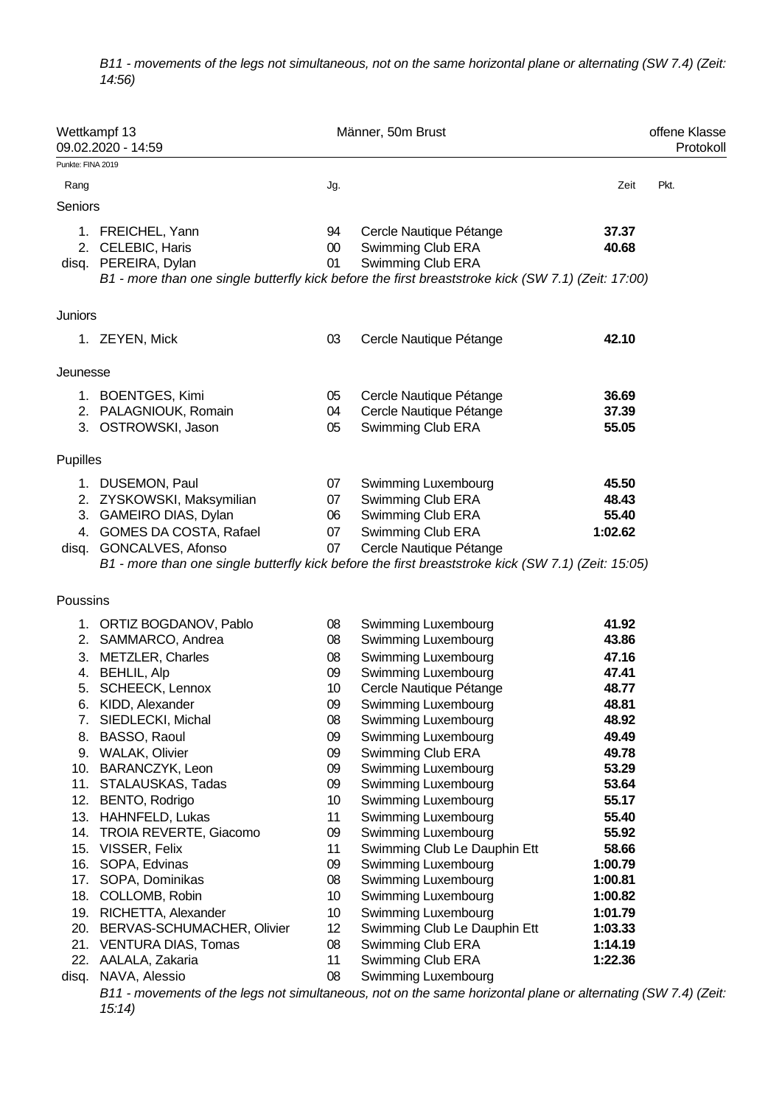*B11 - movements of the legs not simultaneous, not on the same horizontal plane or alternating (SW 7.4) (Zeit: 14:56)*

|                                | Wettkampf 13<br>09.02.2020 - 14:59                                                                                                                                                                                                                                                                                                                                                                                                                                                          |                                                                                                                                                      | Männer, 50m Brust                                                                                                                                                                                                                                                                                                                                                                                                                                                                                                 |                                                                                                                                                                                                       | offene Klasse<br>Protokol |
|--------------------------------|---------------------------------------------------------------------------------------------------------------------------------------------------------------------------------------------------------------------------------------------------------------------------------------------------------------------------------------------------------------------------------------------------------------------------------------------------------------------------------------------|------------------------------------------------------------------------------------------------------------------------------------------------------|-------------------------------------------------------------------------------------------------------------------------------------------------------------------------------------------------------------------------------------------------------------------------------------------------------------------------------------------------------------------------------------------------------------------------------------------------------------------------------------------------------------------|-------------------------------------------------------------------------------------------------------------------------------------------------------------------------------------------------------|---------------------------|
| Punkte: FINA 2019              |                                                                                                                                                                                                                                                                                                                                                                                                                                                                                             |                                                                                                                                                      |                                                                                                                                                                                                                                                                                                                                                                                                                                                                                                                   |                                                                                                                                                                                                       |                           |
| Rang                           |                                                                                                                                                                                                                                                                                                                                                                                                                                                                                             | Jg.                                                                                                                                                  |                                                                                                                                                                                                                                                                                                                                                                                                                                                                                                                   | Zeit                                                                                                                                                                                                  | Pkt.                      |
| Seniors                        |                                                                                                                                                                                                                                                                                                                                                                                                                                                                                             |                                                                                                                                                      |                                                                                                                                                                                                                                                                                                                                                                                                                                                                                                                   |                                                                                                                                                                                                       |                           |
|                                | 1. FREICHEL, Yann<br>2. CELEBIC, Haris<br>disq. PEREIRA, Dylan                                                                                                                                                                                                                                                                                                                                                                                                                              | 94<br>$00\,$<br>01                                                                                                                                   | Cercle Nautique Pétange<br>Swimming Club ERA<br>Swimming Club ERA<br>B1 - more than one single butterfly kick before the first breaststroke kick (SW 7.1) (Zeit: 17:00)                                                                                                                                                                                                                                                                                                                                           | 37.37<br>40.68                                                                                                                                                                                        |                           |
| Juniors                        |                                                                                                                                                                                                                                                                                                                                                                                                                                                                                             |                                                                                                                                                      |                                                                                                                                                                                                                                                                                                                                                                                                                                                                                                                   |                                                                                                                                                                                                       |                           |
|                                | 1. ZEYEN, Mick                                                                                                                                                                                                                                                                                                                                                                                                                                                                              | 03                                                                                                                                                   | Cercle Nautique Pétange                                                                                                                                                                                                                                                                                                                                                                                                                                                                                           | 42.10                                                                                                                                                                                                 |                           |
| Jeunesse                       |                                                                                                                                                                                                                                                                                                                                                                                                                                                                                             |                                                                                                                                                      |                                                                                                                                                                                                                                                                                                                                                                                                                                                                                                                   |                                                                                                                                                                                                       |                           |
|                                | 1. BOENTGES, Kimi<br>2. PALAGNIOUK, Romain<br>3. OSTROWSKI, Jason                                                                                                                                                                                                                                                                                                                                                                                                                           | 05<br>04<br>05                                                                                                                                       | Cercle Nautique Pétange<br>Cercle Nautique Pétange<br>Swimming Club ERA                                                                                                                                                                                                                                                                                                                                                                                                                                           | 36.69<br>37.39<br>55.05                                                                                                                                                                               |                           |
| Pupilles                       |                                                                                                                                                                                                                                                                                                                                                                                                                                                                                             |                                                                                                                                                      |                                                                                                                                                                                                                                                                                                                                                                                                                                                                                                                   |                                                                                                                                                                                                       |                           |
| disq.                          | 1. DUSEMON, Paul<br>2. ZYSKOWSKI, Maksymilian<br>3. GAMEIRO DIAS, Dylan<br>4. GOMES DA COSTA, Rafael<br>GONCALVES, Afonso                                                                                                                                                                                                                                                                                                                                                                   | 07<br>07<br>06<br>07<br>07                                                                                                                           | Swimming Luxembourg<br>Swimming Club ERA<br>Swimming Club ERA<br>Swimming Club ERA<br>Cercle Nautique Pétange<br>B1 - more than one single butterfly kick before the first breaststroke kick (SW 7.1) (Zeit: 15:05)                                                                                                                                                                                                                                                                                               | 45.50<br>48.43<br>55.40<br>1:02.62                                                                                                                                                                    |                           |
| Poussins                       |                                                                                                                                                                                                                                                                                                                                                                                                                                                                                             |                                                                                                                                                      |                                                                                                                                                                                                                                                                                                                                                                                                                                                                                                                   |                                                                                                                                                                                                       |                           |
| 8.<br>12.<br>16.<br>17.<br>18. | 1. ORTIZ BOGDANOV, Pablo<br>2. SAMMARCO, Andrea<br>3. METZLER, Charles<br>4. BEHLIL, Alp<br>5. SCHEECK, Lennox<br>6. KIDD, Alexander<br>7. SIEDLECKI, Michal<br>BASSO, Raoul<br>9. WALAK, Olivier<br>10. BARANCZYK, Leon<br>11. STALAUSKAS, Tadas<br>BENTO, Rodrigo<br>13. HAHNFELD, Lukas<br>14. TROIA REVERTE, Giacomo<br>15. VISSER, Felix<br>SOPA, Edvinas<br>SOPA, Dominikas<br>COLLOMB, Robin<br>19. RICHETTA, Alexander<br>20. BERVAS-SCHUMACHER, Olivier<br>21. VENTURA DIAS, Tomas | 08<br>08<br>08<br>09<br>10<br>09<br>08<br>09<br>09<br>09<br>09<br>10<br>11<br>09<br>11<br>09<br>08<br>10 <sup>°</sup><br>10<br>12 <sup>2</sup><br>08 | Swimming Luxembourg<br>Swimming Luxembourg<br>Swimming Luxembourg<br>Swimming Luxembourg<br>Cercle Nautique Pétange<br>Swimming Luxembourg<br>Swimming Luxembourg<br>Swimming Luxembourg<br>Swimming Club ERA<br>Swimming Luxembourg<br>Swimming Luxembourg<br>Swimming Luxembourg<br>Swimming Luxembourg<br>Swimming Luxembourg<br>Swimming Club Le Dauphin Ett<br>Swimming Luxembourg<br>Swimming Luxembourg<br>Swimming Luxembourg<br>Swimming Luxembourg<br>Swimming Club Le Dauphin Ett<br>Swimming Club ERA | 41.92<br>43.86<br>47.16<br>47.41<br>48.77<br>48.81<br>48.92<br>49.49<br>49.78<br>53.29<br>53.64<br>55.17<br>55.40<br>55.92<br>58.66<br>1:00.79<br>1:00.81<br>1:00.82<br>1:01.79<br>1:03.33<br>1:14.19 |                           |
| disq.                          | 22. AALALA, Zakaria<br>NAVA, Alessio<br>15:14)                                                                                                                                                                                                                                                                                                                                                                                                                                              | 11<br>08                                                                                                                                             | Swimming Club ERA<br>Swimming Luxembourg<br>B11 - movements of the legs not simultaneous, not on the same horizontal plane or alternating (SW 7.4) (Zeit                                                                                                                                                                                                                                                                                                                                                          | 1:22.36                                                                                                                                                                                               |                           |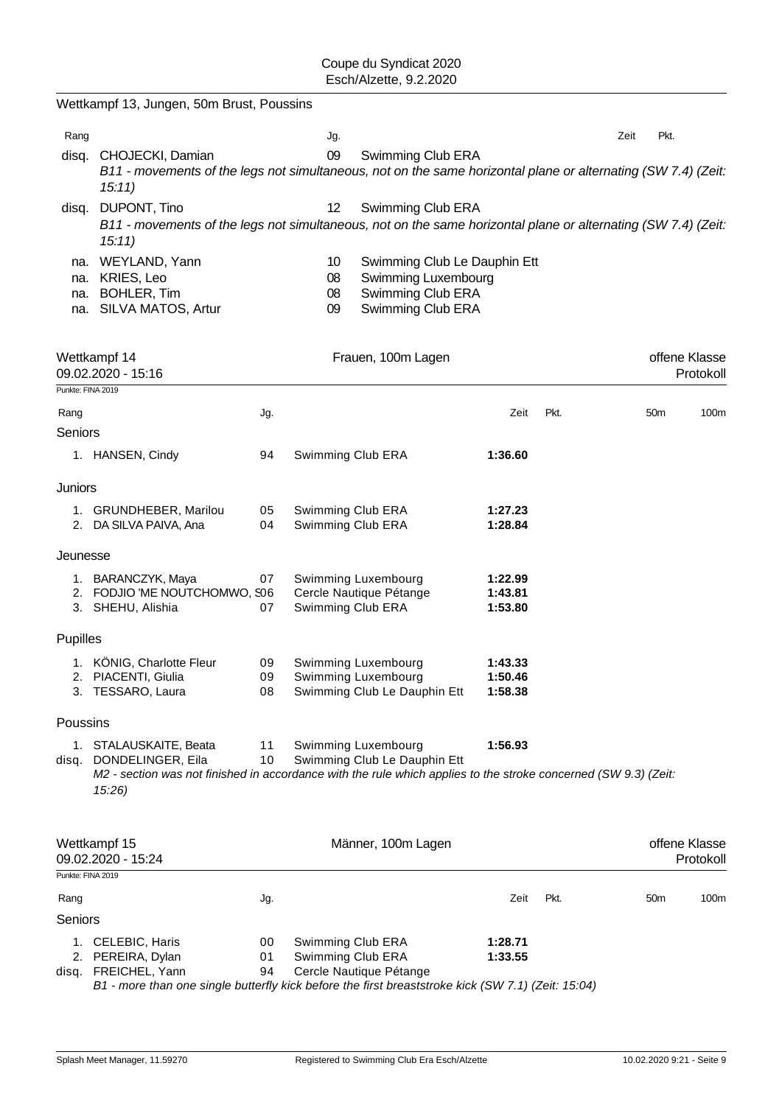|                   | Wettkampf 13, Jungen, 50m Brust, Poussins                                                                                                                               |                |                                        |                                                                                               |                               |      |                 |               |           |
|-------------------|-------------------------------------------------------------------------------------------------------------------------------------------------------------------------|----------------|----------------------------------------|-----------------------------------------------------------------------------------------------|-------------------------------|------|-----------------|---------------|-----------|
| Rang              |                                                                                                                                                                         |                | Jg.                                    |                                                                                               |                               |      | Zeit            | Pkt.          |           |
| disq.             | CHOJECKI, Damian<br>B11 - movements of the legs not simultaneous, not on the same horizontal plane or alternating (SW 7.4) (Zeit:<br>15:11)                             |                | 09                                     | Swimming Club ERA                                                                             |                               |      |                 |               |           |
|                   | disq. DUPONT, Tino<br>B11 - movements of the legs not simultaneous, not on the same horizontal plane or alternating (SW 7.4) (Zeit:<br>15:11)                           |                | 12                                     | Swimming Club ERA                                                                             |                               |      |                 |               |           |
| na.<br>na.<br>na. | WEYLAND, Yann<br>KRIES, Leo<br><b>BOHLER, Tim</b><br>na. SILVA MATOS, Artur                                                                                             |                | 10<br>08<br>08<br>09                   | Swimming Club Le Dauphin Ett<br>Swimming Luxembourg<br>Swimming Club ERA<br>Swimming Club ERA |                               |      |                 |               |           |
|                   | Wettkampf 14<br>09.02.2020 - 15:16                                                                                                                                      |                |                                        | Frauen, 100m Lagen                                                                            |                               |      |                 | offene Klasse | Protokoll |
| Punkte: FINA 2019 |                                                                                                                                                                         |                |                                        |                                                                                               | Zeit                          | Pkt. | 50 <sub>m</sub> |               | 100m      |
| Rang<br>Seniors   |                                                                                                                                                                         | Jg.            |                                        |                                                                                               |                               |      |                 |               |           |
|                   | 1. HANSEN, Cindy                                                                                                                                                        | 94             | Swimming Club ERA                      |                                                                                               | 1:36.60                       |      |                 |               |           |
| Juniors           |                                                                                                                                                                         |                |                                        |                                                                                               |                               |      |                 |               |           |
|                   | 1. GRUNDHEBER, Marilou<br>2. DA SILVA PAIVA, Ana                                                                                                                        | 05<br>04       | Swimming Club ERA<br>Swimming Club ERA |                                                                                               | 1:27.23<br>1:28.84            |      |                 |               |           |
| Jeunesse          |                                                                                                                                                                         |                |                                        |                                                                                               |                               |      |                 |               |           |
|                   | 1. BARANCZYK, Maya<br>2. FODJIO 'ME NOUTCHOMWO, S06<br>3. SHEHU, Alishia                                                                                                | 07<br>07       | Swimming Club ERA                      | Swimming Luxembourg<br>Cercle Nautique Pétange                                                | 1:22.99<br>1:43.81<br>1:53.80 |      |                 |               |           |
| Pupilles          |                                                                                                                                                                         |                |                                        |                                                                                               |                               |      |                 |               |           |
|                   | 1. KÖNIG, Charlotte Fleur<br>2. PIACENTI, Giulia<br>3. TESSARO, Laura                                                                                                   | 09<br>09<br>08 |                                        | Swimming Luxembourg<br>Swimming Luxembourg<br>Swimming Club Le Dauphin Ett                    | 1:43.33<br>1:50.46<br>1:58.38 |      |                 |               |           |
| Poussins          |                                                                                                                                                                         |                |                                        |                                                                                               |                               |      |                 |               |           |
| disq.             | 1. STALAUSKAITE, Beata<br>DONDELINGER, Eila<br>M2 - section was not finished in accordance with the rule which applies to the stroke concerned (SW 9.3) (Zeit:<br>15:26 | 11<br>10       |                                        | Swimming Luxembourg<br>Swimming Club Le Dauphin Ett                                           | 1:56.93                       |      |                 |               |           |
|                   | Wettkampf 15<br>09.02.2020 - 15:24                                                                                                                                      |                |                                        | Männer, 100m Lagen                                                                            |                               |      |                 | offene Klasse | Protokoll |
| Punkte: FINA 2019 |                                                                                                                                                                         |                |                                        |                                                                                               |                               |      |                 |               |           |
| Rang<br>Seniors   |                                                                                                                                                                         | Jg.            |                                        |                                                                                               | Zeit                          | Pkt. | 50 <sub>m</sub> |               | 100m      |
|                   | 1. CELEBIC, Haris<br>2. PEREIRA, Dylan<br>disq. FREICHEL, Yann<br>B1 - more than one single butterfly kick before the first breaststroke kick (SW 7.1) (Zeit: 15:04)    | 00<br>01<br>94 | Swimming Club ERA<br>Swimming Club ERA | Cercle Nautique Pétange                                                                       | 1:28.71<br>1:33.55            |      |                 |               |           |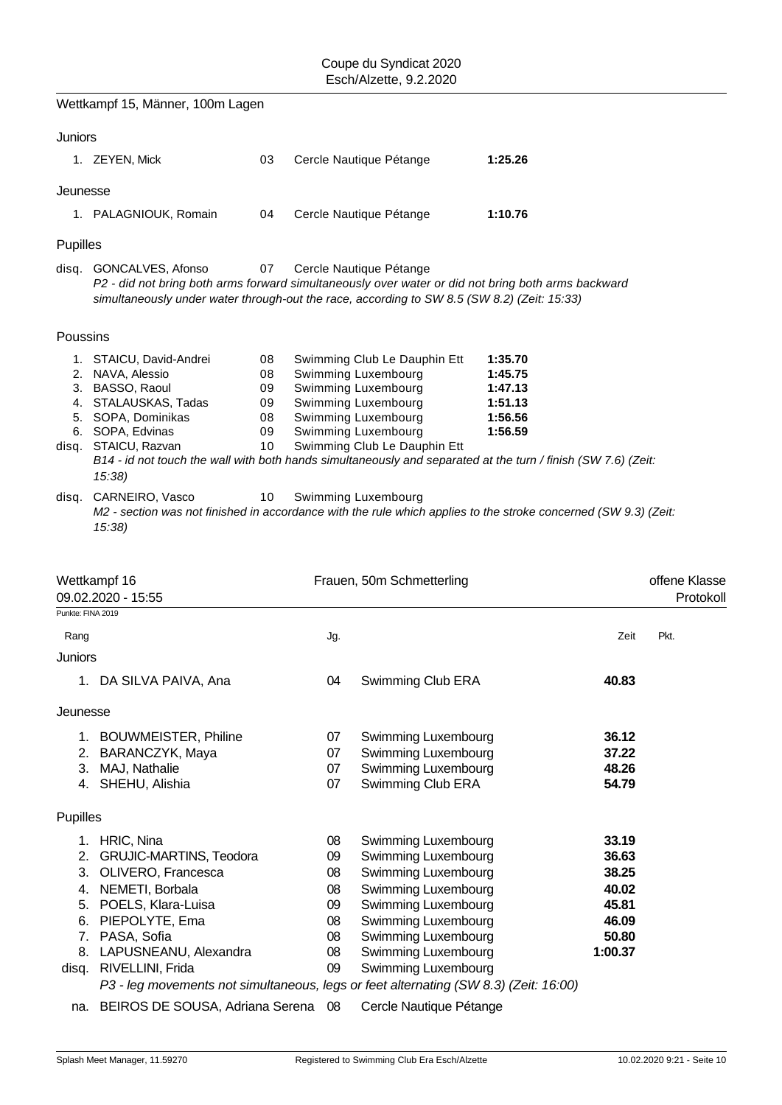|                   | Wettkampf 15, Männer, 100m Lagen                                                                                                                                                                                                                                                    |                                        |                                              |                                                                                                                                                                                      |                                                                |                                                                        |                           |
|-------------------|-------------------------------------------------------------------------------------------------------------------------------------------------------------------------------------------------------------------------------------------------------------------------------------|----------------------------------------|----------------------------------------------|--------------------------------------------------------------------------------------------------------------------------------------------------------------------------------------|----------------------------------------------------------------|------------------------------------------------------------------------|---------------------------|
| Juniors           |                                                                                                                                                                                                                                                                                     |                                        |                                              |                                                                                                                                                                                      |                                                                |                                                                        |                           |
|                   | 1. ZEYEN, Mick                                                                                                                                                                                                                                                                      | 03                                     |                                              | Cercle Nautique Pétange                                                                                                                                                              | 1:25.26                                                        |                                                                        |                           |
| Jeunesse          |                                                                                                                                                                                                                                                                                     |                                        |                                              |                                                                                                                                                                                      |                                                                |                                                                        |                           |
|                   | 1. PALAGNIOUK, Romain                                                                                                                                                                                                                                                               | 04                                     |                                              | Cercle Nautique Pétange                                                                                                                                                              | 1:10.76                                                        |                                                                        |                           |
| Pupilles          |                                                                                                                                                                                                                                                                                     |                                        |                                              |                                                                                                                                                                                      |                                                                |                                                                        |                           |
| disq.             | GONCALVES, Afonso<br>P2 - did not bring both arms forward simultaneously over water or did not bring both arms backward<br>simultaneously under water through-out the race, according to SW 8.5 (SW 8.2) (Zeit: 15:33)                                                              | 07                                     |                                              | Cercle Nautique Pétange                                                                                                                                                              |                                                                |                                                                        |                           |
| Poussins          |                                                                                                                                                                                                                                                                                     |                                        |                                              |                                                                                                                                                                                      |                                                                |                                                                        |                           |
|                   | 1. STAICU, David-Andrei<br>2. NAVA, Alessio<br>3. BASSO, Raoul<br>4. STALAUSKAS, Tadas<br>5. SOPA, Dominikas<br>6. SOPA, Edvinas<br>disq. STAICU, Razvan<br>B14 - id not touch the wall with both hands simultaneously and separated at the turn / finish (SW 7.6) (Zeit:<br>15:38) | 08<br>08<br>09<br>09<br>08<br>09<br>10 |                                              | Swimming Club Le Dauphin Ett<br>Swimming Luxembourg<br>Swimming Luxembourg<br>Swimming Luxembourg<br>Swimming Luxembourg<br>Swimming Luxembourg<br>Swimming Club Le Dauphin Ett      | 1:35.70<br>1:45.75<br>1:47.13<br>1:51.13<br>1:56.56<br>1:56.59 |                                                                        |                           |
| disq.             | CARNEIRO, Vasco<br>M2 - section was not finished in accordance with the rule which applies to the stroke concerned (SW 9.3) (Zeit:<br>15:38                                                                                                                                         | 10                                     |                                              | Swimming Luxembourg                                                                                                                                                                  |                                                                |                                                                        |                           |
|                   | Wettkampf 16                                                                                                                                                                                                                                                                        |                                        |                                              | Frauen, 50m Schmetterling                                                                                                                                                            |                                                                |                                                                        |                           |
|                   | 09.02.2020 - 15:55                                                                                                                                                                                                                                                                  |                                        |                                              |                                                                                                                                                                                      |                                                                |                                                                        | offene Klasse<br>Protokol |
| Punkte: FINA 2019 |                                                                                                                                                                                                                                                                                     |                                        |                                              |                                                                                                                                                                                      |                                                                | Zeit                                                                   | Pkt.                      |
| Rang<br>Juniors   |                                                                                                                                                                                                                                                                                     |                                        | Jg.                                          |                                                                                                                                                                                      |                                                                |                                                                        |                           |
|                   | 1. DA SILVA PAIVA, Ana                                                                                                                                                                                                                                                              |                                        | 04                                           | Swimming Club ERA                                                                                                                                                                    |                                                                | 40.83                                                                  |                           |
| Jeunesse          |                                                                                                                                                                                                                                                                                     |                                        |                                              |                                                                                                                                                                                      |                                                                |                                                                        |                           |
|                   | 1. BOUWMEISTER, Philine<br>2. BARANCZYK, Maya<br>3. MAJ, Nathalie<br>4. SHEHU, Alishia                                                                                                                                                                                              |                                        | 07<br>07<br>07<br>07                         | Swimming Luxembourg<br>Swimming Luxembourg<br>Swimming Luxembourg<br>Swimming Club ERA                                                                                               |                                                                | 36.12<br>37.22<br>48.26<br>54.79                                       |                           |
| Pupilles          |                                                                                                                                                                                                                                                                                     |                                        |                                              |                                                                                                                                                                                      |                                                                |                                                                        |                           |
|                   | 1. HRIC, Nina<br>2. GRUJIC-MARTINS, Teodora<br>3. OLIVERO, Francesca<br>4. NEMETI, Borbala<br>5. POELS, Klara-Luisa<br>6. PIEPOLYTE, Ema<br>7. PASA, Sofia<br>8. LAPUSNEANU, Alexandra                                                                                              |                                        | 08<br>09<br>08<br>08<br>09<br>08<br>08<br>08 | Swimming Luxembourg<br>Swimming Luxembourg<br>Swimming Luxembourg<br>Swimming Luxembourg<br>Swimming Luxembourg<br>Swimming Luxembourg<br>Swimming Luxembourg<br>Swimming Luxembourg |                                                                | 33.19<br>36.63<br>38.25<br>40.02<br>45.81<br>46.09<br>50.80<br>1:00.37 |                           |
|                   | disq. RIVELLINI, Frida<br>P3 - leg movements not simultaneous, legs or feet alternating (SW 8.3) (Zeit: 16:00)                                                                                                                                                                      |                                        | 09                                           | Swimming Luxembourg                                                                                                                                                                  |                                                                |                                                                        |                           |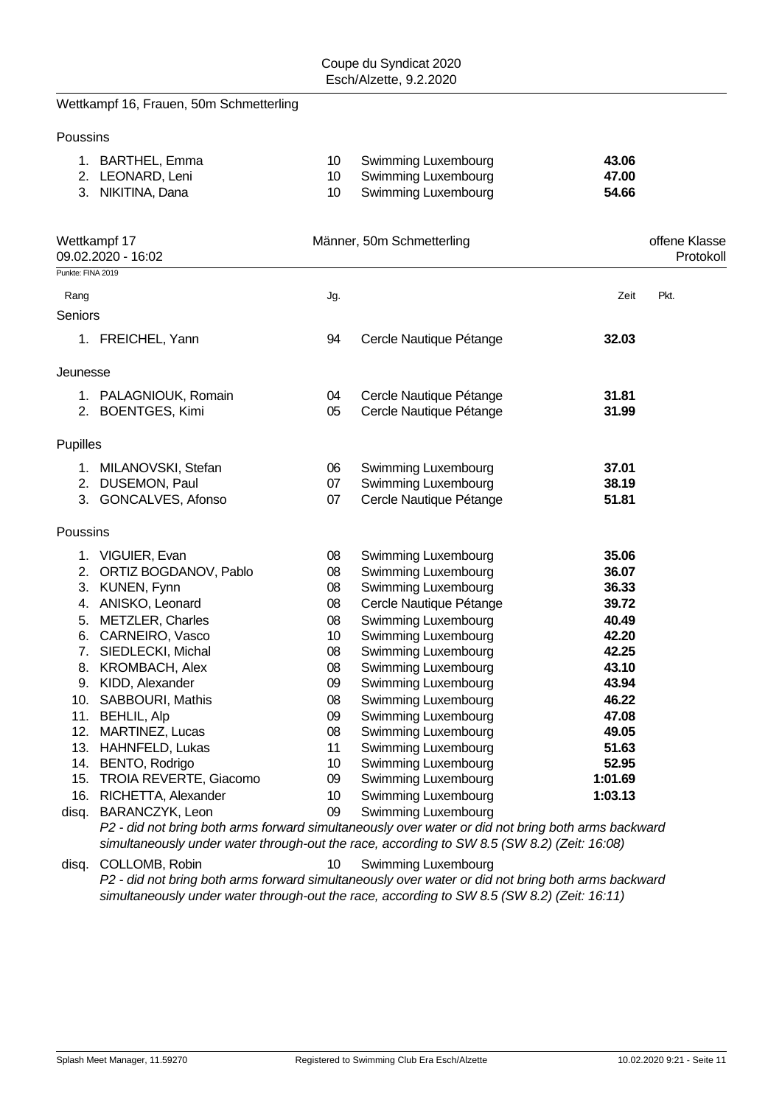### Wettkampf 16, Frauen, 50m Schmetterling

Poussins

| 1. BARTHEL, Emma  | Swimming Luxembourg    | 43.06 |
|-------------------|------------------------|-------|
| 2. LEONARD, Leni  | 10 Swimming Luxembourg | 47.00 |
| 3. NIKITINA, Dana | Swimming Luxembourg    | 54.66 |

| Punkte: FINA 2019<br>Jg.<br>Zeit<br>Rang<br>Seniors<br>94<br>1. FREICHEL, Yann<br>Cercle Nautique Pétange<br>32.03                                        | Pkt. |
|-----------------------------------------------------------------------------------------------------------------------------------------------------------|------|
|                                                                                                                                                           |      |
|                                                                                                                                                           |      |
|                                                                                                                                                           |      |
|                                                                                                                                                           |      |
| Jeunesse                                                                                                                                                  |      |
| Cercle Nautique Pétange<br>1. PALAGNIOUK, Romain<br>04<br>31.81                                                                                           |      |
| 05<br>Cercle Nautique Pétange<br>31.99<br>2. BOENTGES, Kimi                                                                                               |      |
| Pupilles                                                                                                                                                  |      |
| 1. MILANOVSKI, Stefan<br>06<br>Swimming Luxembourg<br>37.01                                                                                               |      |
| Swimming Luxembourg<br>2. DUSEMON, Paul<br>07<br>38.19                                                                                                    |      |
| 3. GONCALVES, Afonso<br>07<br>Cercle Nautique Pétange<br>51.81                                                                                            |      |
| Poussins                                                                                                                                                  |      |
| Swimming Luxembourg<br>35.06<br>1. VIGUIER, Evan<br>08                                                                                                    |      |
| 2. ORTIZ BOGDANOV, Pablo<br>36.07<br>08<br>Swimming Luxembourg                                                                                            |      |
| <b>Swimming Luxembourg</b><br>3. KUNEN, Fynn<br>08<br>36.33                                                                                               |      |
| 39.72<br>4. ANISKO, Leonard<br>08<br>Cercle Nautique Pétange                                                                                              |      |
| 5. METZLER, Charles<br>Swimming Luxembourg<br>40.49<br>08                                                                                                 |      |
| 6. CARNEIRO, Vasco<br>Swimming Luxembourg<br>42.20<br>10 <sup>°</sup>                                                                                     |      |
| 7. SIEDLECKI, Michal<br>Swimming Luxembourg<br>42.25<br>08                                                                                                |      |
| Swimming Luxembourg<br>43.10<br>8. KROMBACH, Alex<br>08                                                                                                   |      |
| Swimming Luxembourg<br>43.94<br>9. KIDD, Alexander<br>09                                                                                                  |      |
| 46.22<br>10. SABBOURI, Mathis<br>Swimming Luxembourg<br>08                                                                                                |      |
| 11. BEHLIL, Alp<br>Swimming Luxembourg<br>47.08<br>09                                                                                                     |      |
| 12. MARTINEZ, Lucas<br>Swimming Luxembourg<br>49.05<br>08                                                                                                 |      |
| 13. HAHNFELD, Lukas<br>Swimming Luxembourg<br>51.63<br>11                                                                                                 |      |
| 52.95<br>14. BENTO, Rodrigo<br>Swimming Luxembourg<br>10 <sup>°</sup>                                                                                     |      |
| 15. TROIA REVERTE, Giacomo<br>1:01.69<br>Swimming Luxembourg<br>09                                                                                        |      |
| Swimming Luxembourg<br>16. RICHETTA, Alexander<br>10 <sup>°</sup><br>1:03.13                                                                              |      |
| Swimming Luxembourg<br>disq. BARANCZYK, Leon<br>09<br>D2 - did not bring both arms forward simultaneously over water or did not bring both arms backward. |      |

*P2 - did not bring both arms forward simultaneously over water or did not bring both arms backward simultaneously under water through-out the race, according to SW 8.5 (SW 8.2) (Zeit: 16:08)*

disq. COLLOMB, Robin 10 Swimming Luxembourg *P2 - did not bring both arms forward simultaneously over water or did not bring both arms backward simultaneously under water through-out the race, according to SW 8.5 (SW 8.2) (Zeit: 16:11)*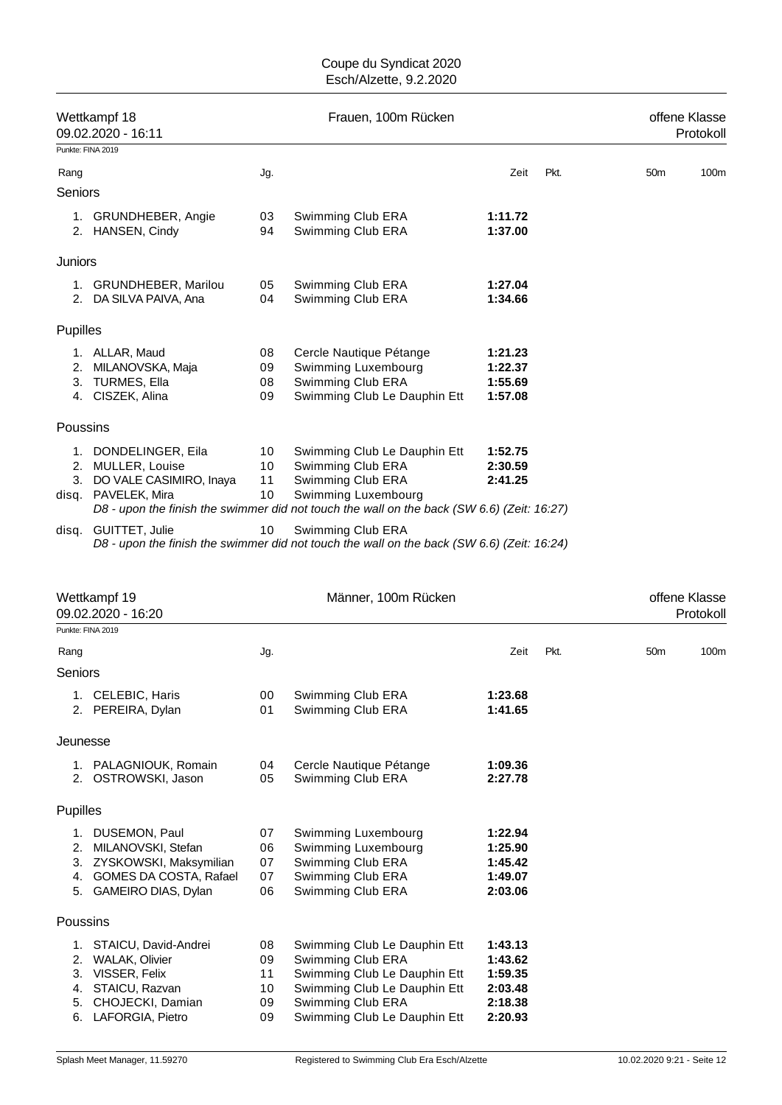|                   | Wettkampf 18<br>09.02.2020 - 16:11                                                                                            |                            | Frauen, 100m Rücken                                                                                                                                                                         |                                                     |      |                 | offene Klasse<br>Protokoll |
|-------------------|-------------------------------------------------------------------------------------------------------------------------------|----------------------------|---------------------------------------------------------------------------------------------------------------------------------------------------------------------------------------------|-----------------------------------------------------|------|-----------------|----------------------------|
| Punkte: FINA 2019 |                                                                                                                               |                            |                                                                                                                                                                                             |                                                     |      |                 |                            |
| Rang              |                                                                                                                               | Jg.                        |                                                                                                                                                                                             | Zeit                                                | Pkt. | 50 <sub>m</sub> | 100m                       |
| Seniors           |                                                                                                                               |                            |                                                                                                                                                                                             |                                                     |      |                 |                            |
|                   | 1. GRUNDHEBER, Angie<br>2. HANSEN, Cindy                                                                                      | 03<br>94                   | Swimming Club ERA<br>Swimming Club ERA                                                                                                                                                      | 1:11.72<br>1:37.00                                  |      |                 |                            |
| Juniors           |                                                                                                                               |                            |                                                                                                                                                                                             |                                                     |      |                 |                            |
|                   | 1. GRUNDHEBER, Marilou<br>2. DA SILVA PAIVA, Ana                                                                              | 05<br>04                   | Swimming Club ERA<br>Swimming Club ERA                                                                                                                                                      | 1:27.04<br>1:34.66                                  |      |                 |                            |
| Pupilles          |                                                                                                                               |                            |                                                                                                                                                                                             |                                                     |      |                 |                            |
|                   | 1. ALLAR, Maud<br>2. MILANOVSKA, Maja<br>3. TURMES, Ella<br>4. CISZEK, Alina                                                  | 08<br>09<br>08<br>09       | Cercle Nautique Pétange<br>Swimming Luxembourg<br>Swimming Club ERA<br>Swimming Club Le Dauphin Ett                                                                                         | 1:21.23<br>1:22.37<br>1:55.69<br>1:57.08            |      |                 |                            |
| Poussins          |                                                                                                                               |                            |                                                                                                                                                                                             |                                                     |      |                 |                            |
|                   | 1. DONDELINGER, Eila<br>2. MULLER, Louise<br>3. DO VALE CASIMIRO, Inaya<br>disq. PAVELEK, Mira                                | 10<br>10<br>11<br>10       | Swimming Club Le Dauphin Ett<br>Swimming Club ERA<br>Swimming Club ERA<br>Swimming Luxembourg<br>D8 - upon the finish the swimmer did not touch the wall on the back (SW 6.6) (Zeit: 16:27) | 1:52.75<br>2:30.59<br>2:41.25                       |      |                 |                            |
|                   | disq. GUITTET, Julie                                                                                                          | 10                         | Swimming Club ERA<br>D8 - upon the finish the swimmer did not touch the wall on the back (SW 6.6) (Zeit: 16:24)                                                                             |                                                     |      |                 |                            |
|                   |                                                                                                                               |                            |                                                                                                                                                                                             |                                                     |      |                 |                            |
|                   | Wettkampf 19<br>09.02.2020 - 16:20                                                                                            |                            | Männer, 100m Rücken                                                                                                                                                                         |                                                     |      |                 | offene Klasse<br>Protokoll |
| Punkte: FINA 2019 |                                                                                                                               |                            |                                                                                                                                                                                             |                                                     |      |                 |                            |
| Rang              |                                                                                                                               | Jg.                        |                                                                                                                                                                                             | Zeit                                                | Pkt. | 50 <sub>m</sub> | 100m                       |
| Seniors           |                                                                                                                               |                            |                                                                                                                                                                                             |                                                     |      |                 |                            |
|                   | 1. CELEBIC, Haris<br>2. PEREIRA, Dylan                                                                                        | 00<br>01                   | Swimming Club ERA<br>Swimming Club ERA                                                                                                                                                      | 1:23.68<br>1:41.65                                  |      |                 |                            |
| Jeunesse          |                                                                                                                               |                            |                                                                                                                                                                                             |                                                     |      |                 |                            |
|                   | 1. PALAGNIOUK, Romain<br>2. OSTROWSKI, Jason                                                                                  | 04<br>05                   | Cercle Nautique Pétange<br>Swimming Club ERA                                                                                                                                                | 1:09.36<br>2:27.78                                  |      |                 |                            |
| Pupilles          |                                                                                                                               |                            |                                                                                                                                                                                             |                                                     |      |                 |                            |
|                   | 1. DUSEMON, Paul<br>2. MILANOVSKI, Stefan<br>3. ZYSKOWSKI, Maksymilian<br>4. GOMES DA COSTA, Rafael<br>5. GAMEIRO DIAS, Dylan | 07<br>06<br>07<br>07<br>06 | Swimming Luxembourg<br>Swimming Luxembourg<br>Swimming Club ERA<br>Swimming Club ERA<br>Swimming Club ERA                                                                                   | 1:22.94<br>1:25.90<br>1:45.42<br>1:49.07<br>2:03.06 |      |                 |                            |
| Poussins          |                                                                                                                               |                            |                                                                                                                                                                                             |                                                     |      |                 |                            |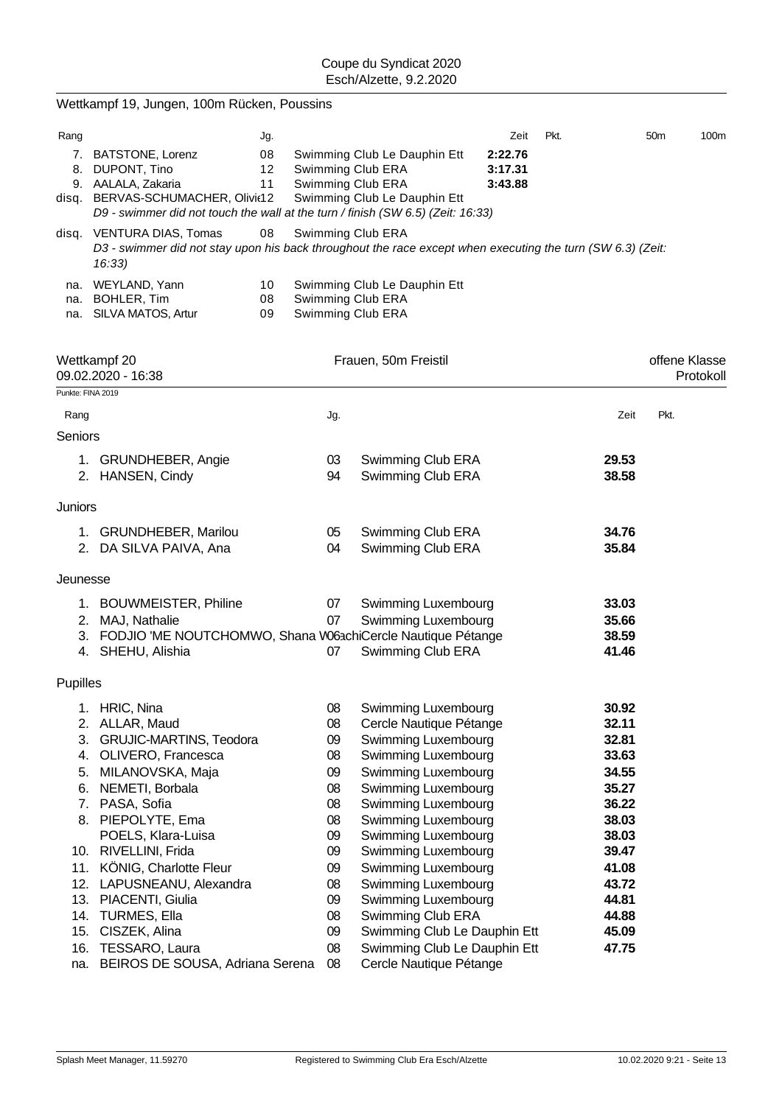| 7. BATSTONE, Lorenz<br>8. DUPONT, Tino<br>9. AALALA, Zakaria      |                                                                                                                                                                                                                                                                                                                                   |                                                                                                                                                                                                                                        | Zeit<br>2:22.76<br>3:17.31<br>3:43.88                                                                                                                                                                                         | Pkt.                                                                                                                                                                                                                                                                                                                                                                                                                                                                                                                                                                                                                                                                   | 50 <sub>m</sub><br>100m                                                                                                                                                                                                                                                       |
|-------------------------------------------------------------------|-----------------------------------------------------------------------------------------------------------------------------------------------------------------------------------------------------------------------------------------------------------------------------------------------------------------------------------|----------------------------------------------------------------------------------------------------------------------------------------------------------------------------------------------------------------------------------------|-------------------------------------------------------------------------------------------------------------------------------------------------------------------------------------------------------------------------------|------------------------------------------------------------------------------------------------------------------------------------------------------------------------------------------------------------------------------------------------------------------------------------------------------------------------------------------------------------------------------------------------------------------------------------------------------------------------------------------------------------------------------------------------------------------------------------------------------------------------------------------------------------------------|-------------------------------------------------------------------------------------------------------------------------------------------------------------------------------------------------------------------------------------------------------------------------------|
| disq. VENTURA DIAS, Tomas<br>16:33)                               |                                                                                                                                                                                                                                                                                                                                   |                                                                                                                                                                                                                                        |                                                                                                                                                                                                                               |                                                                                                                                                                                                                                                                                                                                                                                                                                                                                                                                                                                                                                                                        |                                                                                                                                                                                                                                                                               |
| na. WEYLAND, Yann<br><b>BOHLER, Tim</b><br>na. SILVA MATOS, Artur |                                                                                                                                                                                                                                                                                                                                   |                                                                                                                                                                                                                                        |                                                                                                                                                                                                                               |                                                                                                                                                                                                                                                                                                                                                                                                                                                                                                                                                                                                                                                                        |                                                                                                                                                                                                                                                                               |
| Wettkampf 20<br>09.02.2020 - 16:38                                |                                                                                                                                                                                                                                                                                                                                   |                                                                                                                                                                                                                                        |                                                                                                                                                                                                                               |                                                                                                                                                                                                                                                                                                                                                                                                                                                                                                                                                                                                                                                                        | offene Klasse<br>Protokoll                                                                                                                                                                                                                                                    |
|                                                                   |                                                                                                                                                                                                                                                                                                                                   |                                                                                                                                                                                                                                        |                                                                                                                                                                                                                               |                                                                                                                                                                                                                                                                                                                                                                                                                                                                                                                                                                                                                                                                        |                                                                                                                                                                                                                                                                               |
| Rang                                                              | Jg.                                                                                                                                                                                                                                                                                                                               |                                                                                                                                                                                                                                        |                                                                                                                                                                                                                               | Zeit                                                                                                                                                                                                                                                                                                                                                                                                                                                                                                                                                                                                                                                                   | Pkt.                                                                                                                                                                                                                                                                          |
| Seniors                                                           |                                                                                                                                                                                                                                                                                                                                   |                                                                                                                                                                                                                                        |                                                                                                                                                                                                                               |                                                                                                                                                                                                                                                                                                                                                                                                                                                                                                                                                                                                                                                                        |                                                                                                                                                                                                                                                                               |
| 1. GRUNDHEBER, Angie<br>2. HANSEN, Cindy                          | 03<br>94                                                                                                                                                                                                                                                                                                                          |                                                                                                                                                                                                                                        |                                                                                                                                                                                                                               | 29.53<br>38.58                                                                                                                                                                                                                                                                                                                                                                                                                                                                                                                                                                                                                                                         |                                                                                                                                                                                                                                                                               |
| Juniors                                                           |                                                                                                                                                                                                                                                                                                                                   |                                                                                                                                                                                                                                        |                                                                                                                                                                                                                               |                                                                                                                                                                                                                                                                                                                                                                                                                                                                                                                                                                                                                                                                        |                                                                                                                                                                                                                                                                               |
| 1. GRUNDHEBER, Marilou<br>2. DA SILVA PAIVA, Ana                  | 05<br>04                                                                                                                                                                                                                                                                                                                          |                                                                                                                                                                                                                                        |                                                                                                                                                                                                                               | 34.76<br>35.84                                                                                                                                                                                                                                                                                                                                                                                                                                                                                                                                                                                                                                                         |                                                                                                                                                                                                                                                                               |
|                                                                   |                                                                                                                                                                                                                                                                                                                                   |                                                                                                                                                                                                                                        |                                                                                                                                                                                                                               |                                                                                                                                                                                                                                                                                                                                                                                                                                                                                                                                                                                                                                                                        |                                                                                                                                                                                                                                                                               |
|                                                                   |                                                                                                                                                                                                                                                                                                                                   |                                                                                                                                                                                                                                        |                                                                                                                                                                                                                               |                                                                                                                                                                                                                                                                                                                                                                                                                                                                                                                                                                                                                                                                        |                                                                                                                                                                                                                                                                               |
|                                                                   |                                                                                                                                                                                                                                                                                                                                   |                                                                                                                                                                                                                                        |                                                                                                                                                                                                                               |                                                                                                                                                                                                                                                                                                                                                                                                                                                                                                                                                                                                                                                                        |                                                                                                                                                                                                                                                                               |
|                                                                   |                                                                                                                                                                                                                                                                                                                                   |                                                                                                                                                                                                                                        |                                                                                                                                                                                                                               | 38.59                                                                                                                                                                                                                                                                                                                                                                                                                                                                                                                                                                                                                                                                  |                                                                                                                                                                                                                                                                               |
| 4. SHEHU, Alishia                                                 | 07                                                                                                                                                                                                                                                                                                                                |                                                                                                                                                                                                                                        |                                                                                                                                                                                                                               | 41.46                                                                                                                                                                                                                                                                                                                                                                                                                                                                                                                                                                                                                                                                  |                                                                                                                                                                                                                                                                               |
| Pupilles                                                          |                                                                                                                                                                                                                                                                                                                                   |                                                                                                                                                                                                                                        |                                                                                                                                                                                                                               |                                                                                                                                                                                                                                                                                                                                                                                                                                                                                                                                                                                                                                                                        |                                                                                                                                                                                                                                                                               |
| 1. HRIC, Nina                                                     | 08                                                                                                                                                                                                                                                                                                                                |                                                                                                                                                                                                                                        |                                                                                                                                                                                                                               | 30.92                                                                                                                                                                                                                                                                                                                                                                                                                                                                                                                                                                                                                                                                  |                                                                                                                                                                                                                                                                               |
| ALLAR, Maud<br>2.                                                 | 08                                                                                                                                                                                                                                                                                                                                |                                                                                                                                                                                                                                        |                                                                                                                                                                                                                               | 32.11                                                                                                                                                                                                                                                                                                                                                                                                                                                                                                                                                                                                                                                                  |                                                                                                                                                                                                                                                                               |
| 3.                                                                |                                                                                                                                                                                                                                                                                                                                   |                                                                                                                                                                                                                                        |                                                                                                                                                                                                                               |                                                                                                                                                                                                                                                                                                                                                                                                                                                                                                                                                                                                                                                                        |                                                                                                                                                                                                                                                                               |
|                                                                   |                                                                                                                                                                                                                                                                                                                                   |                                                                                                                                                                                                                                        |                                                                                                                                                                                                                               |                                                                                                                                                                                                                                                                                                                                                                                                                                                                                                                                                                                                                                                                        |                                                                                                                                                                                                                                                                               |
| 6.                                                                |                                                                                                                                                                                                                                                                                                                                   |                                                                                                                                                                                                                                        |                                                                                                                                                                                                                               |                                                                                                                                                                                                                                                                                                                                                                                                                                                                                                                                                                                                                                                                        |                                                                                                                                                                                                                                                                               |
| 7.                                                                |                                                                                                                                                                                                                                                                                                                                   |                                                                                                                                                                                                                                        |                                                                                                                                                                                                                               |                                                                                                                                                                                                                                                                                                                                                                                                                                                                                                                                                                                                                                                                        |                                                                                                                                                                                                                                                                               |
| 8. PIEPOLYTE, Ema                                                 | 80                                                                                                                                                                                                                                                                                                                                |                                                                                                                                                                                                                                        |                                                                                                                                                                                                                               | 38.03                                                                                                                                                                                                                                                                                                                                                                                                                                                                                                                                                                                                                                                                  |                                                                                                                                                                                                                                                                               |
| POELS, Klara-Luisa                                                | 09                                                                                                                                                                                                                                                                                                                                |                                                                                                                                                                                                                                        |                                                                                                                                                                                                                               | 38.03                                                                                                                                                                                                                                                                                                                                                                                                                                                                                                                                                                                                                                                                  |                                                                                                                                                                                                                                                                               |
|                                                                   |                                                                                                                                                                                                                                                                                                                                   |                                                                                                                                                                                                                                        |                                                                                                                                                                                                                               |                                                                                                                                                                                                                                                                                                                                                                                                                                                                                                                                                                                                                                                                        |                                                                                                                                                                                                                                                                               |
| 11.                                                               |                                                                                                                                                                                                                                                                                                                                   |                                                                                                                                                                                                                                        |                                                                                                                                                                                                                               |                                                                                                                                                                                                                                                                                                                                                                                                                                                                                                                                                                                                                                                                        |                                                                                                                                                                                                                                                                               |
|                                                                   |                                                                                                                                                                                                                                                                                                                                   |                                                                                                                                                                                                                                        |                                                                                                                                                                                                                               |                                                                                                                                                                                                                                                                                                                                                                                                                                                                                                                                                                                                                                                                        |                                                                                                                                                                                                                                                                               |
| 14.                                                               | 08                                                                                                                                                                                                                                                                                                                                |                                                                                                                                                                                                                                        |                                                                                                                                                                                                                               | 44.88                                                                                                                                                                                                                                                                                                                                                                                                                                                                                                                                                                                                                                                                  |                                                                                                                                                                                                                                                                               |
| CISZEK, Alina<br>15.                                              | 09                                                                                                                                                                                                                                                                                                                                |                                                                                                                                                                                                                                        |                                                                                                                                                                                                                               | 45.09                                                                                                                                                                                                                                                                                                                                                                                                                                                                                                                                                                                                                                                                  |                                                                                                                                                                                                                                                                               |
| TESSARO, Laura<br>16.<br>na.                                      | 08<br>08                                                                                                                                                                                                                                                                                                                          |                                                                                                                                                                                                                                        |                                                                                                                                                                                                                               | 47.75                                                                                                                                                                                                                                                                                                                                                                                                                                                                                                                                                                                                                                                                  |                                                                                                                                                                                                                                                                               |
| 5.                                                                | Punkte: FINA 2019<br>Jeunesse<br>1. BOUWMEISTER, Philine<br>2. MAJ, Nathalie<br><b>GRUJIC-MARTINS, Teodora</b><br>OLIVERO, Francesca<br>4.<br>MILANOVSKA, Maja<br>NEMETI, Borbala<br>PASA, Sofia<br>10. RIVELLINI, Frida<br>KÖNIG, Charlotte Fleur<br>12.<br>LAPUSNEANU, Alexandra<br>13. PIACENTI, Giulia<br><b>TURMES, Ella</b> | Wettkampf 19, Jungen, 100m Rücken, Poussins<br>Jg.<br>08<br>12<br>11<br>disq. BERVAS-SCHUMACHER, Olivit12<br>08<br>10<br>08<br>09<br>07<br>07<br>09<br>80<br>09<br>80<br>80<br>09<br>09<br>08<br>09<br>BEIROS DE SOUSA, Adriana Serena | Swimming Club Le Dauphin Ett<br>Swimming Club ERA<br>Swimming Club ERA<br>Swimming Club Le Dauphin Ett<br>Swimming Club ERA<br>Swimming Club Le Dauphin Ett<br>Swimming Club ERA<br>Swimming Club ERA<br>Frauen, 50m Freistil | D9 - swimmer did not touch the wall at the turn / finish (SW 6.5) (Zeit: 16:33)<br>Swimming Club ERA<br>Swimming Club ERA<br>Swimming Club ERA<br>Swimming Club ERA<br>Swimming Luxembourg<br>Swimming Luxembourg<br>3. FODJIO 'ME NOUTCHOMWO, Shana W63chiCercle Nautique Pétange<br>Swimming Club ERA<br>Swimming Luxembourg<br>Cercle Nautique Pétange<br>Swimming Luxembourg<br>Swimming Luxembourg<br>Swimming Luxembourg<br>Swimming Luxembourg<br>Swimming Luxembourg<br>Swimming Luxembourg<br>Swimming Luxembourg<br>Swimming Luxembourg<br>Swimming Luxembourg<br>Swimming Luxembourg<br>Swimming Luxembourg<br>Swimming Club ERA<br>Cercle Nautique Pétange | D3 - swimmer did not stay upon his back throughout the race except when executing the turn (SW 6.3) (Zeit:<br>33.03<br>35.66<br>32.81<br>33.63<br>34.55<br>35.27<br>36.22<br>39.47<br>41.08<br>43.72<br>44.81<br>Swimming Club Le Dauphin Ett<br>Swimming Club Le Dauphin Ett |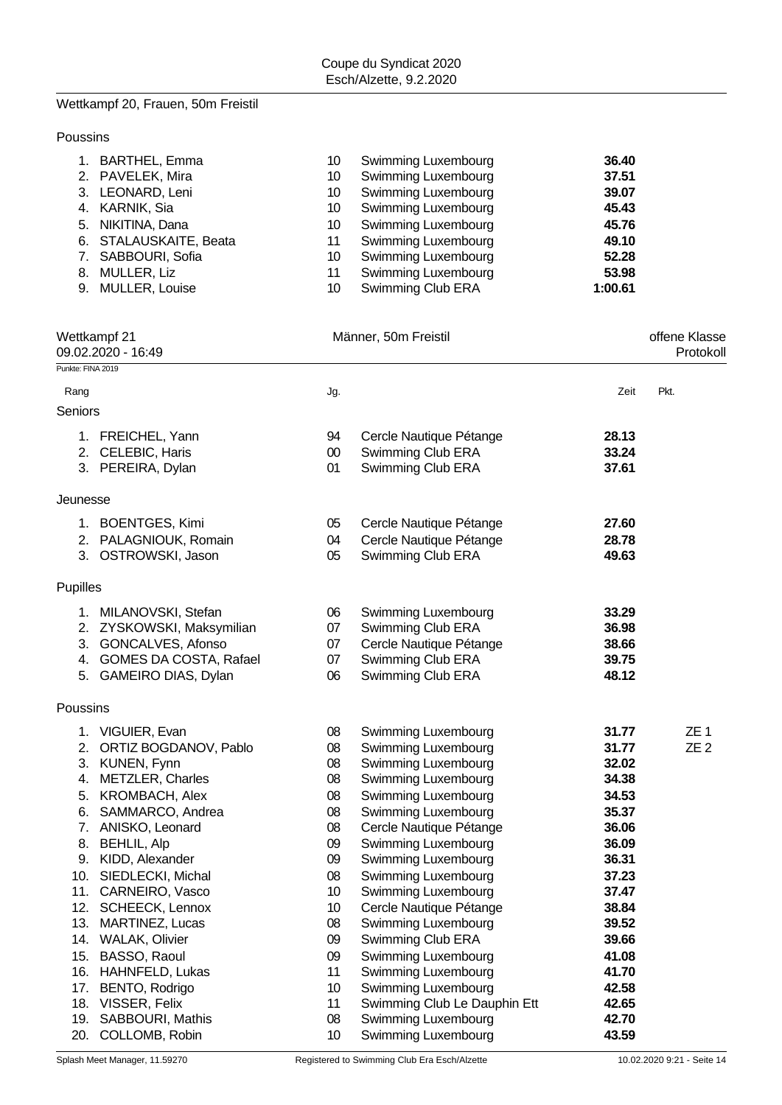# Wettkampf 20, Frauen, 50m Freistil

### Poussins

| 1. BARTHEL, Emma       | 10 | Swimming Luxembourg        | 36.40   |
|------------------------|----|----------------------------|---------|
| 2. PAVELEK, Mira       | 10 | Swimming Luxembourg        | 37.51   |
| 3. LEONARD, Leni       | 10 | Swimming Luxembourg        | 39.07   |
| 4. KARNIK, Sia         | 10 | <b>Swimming Luxembourg</b> | 45.43   |
| 5. NIKITINA, Dana      | 10 | Swimming Luxembourg        | 45.76   |
| 6. STALAUSKAITE, Beata | 11 | Swimming Luxembourg        | 49.10   |
| 7. SABBOURI, Sofia     | 10 | Swimming Luxembourg        | 52.28   |
| 8. MULLER, Liz         | 11 | <b>Swimming Luxembourg</b> | 53.98   |
| 9. MULLER, Louise      | 10 | Swimming Club ERA          | 1:00.61 |

|                   | Wettkampf 21<br>09.02.2020 - 16:49 |                 | Männer, 50m Freistil         |       | offene Klasse<br>Protokol |
|-------------------|------------------------------------|-----------------|------------------------------|-------|---------------------------|
| Punkte: FINA 2019 |                                    |                 |                              |       |                           |
| Rang              |                                    | Jg.             |                              | Zeit  | Pkt.                      |
| Seniors           |                                    |                 |                              |       |                           |
|                   | 1. FREICHEL, Yann                  | 94              | Cercle Nautique Pétange      | 28.13 |                           |
|                   | 2. CELEBIC, Haris                  | $00\,$          | Swimming Club ERA            | 33.24 |                           |
|                   | 3. PEREIRA, Dylan                  | 01              | Swimming Club ERA            | 37.61 |                           |
| Jeunesse          |                                    |                 |                              |       |                           |
|                   | 1. BOENTGES, Kimi                  | 05              | Cercle Nautique Pétange      | 27.60 |                           |
|                   | 2. PALAGNIOUK, Romain              | 04              | Cercle Nautique Pétange      | 28.78 |                           |
|                   | 3. OSTROWSKI, Jason                | 05              | Swimming Club ERA            | 49.63 |                           |
| Pupilles          |                                    |                 |                              |       |                           |
|                   | 1. MILANOVSKI, Stefan              | 06              | Swimming Luxembourg          | 33.29 |                           |
|                   | 2. ZYSKOWSKI, Maksymilian          | 07              | Swimming Club ERA            | 36.98 |                           |
|                   | 3. GONCALVES, Afonso               | 07              | Cercle Nautique Pétange      | 38.66 |                           |
|                   | 4. GOMES DA COSTA, Rafael          | 07              | Swimming Club ERA            | 39.75 |                           |
|                   | 5. GAMEIRO DIAS, Dylan             | 06              | Swimming Club ERA            | 48.12 |                           |
| Poussins          |                                    |                 |                              |       |                           |
|                   | 1. VIGUIER, Evan                   | 08              | Swimming Luxembourg          | 31.77 | ZE 1                      |
| 2.                | ORTIZ BOGDANOV, Pablo              | 08              | Swimming Luxembourg          | 31.77 | ZE <sub>2</sub>           |
| 3.                | KUNEN, Fynn                        | 08              | Swimming Luxembourg          | 32.02 |                           |
| 4.                | <b>METZLER, Charles</b>            | 08              | <b>Swimming Luxembourg</b>   | 34.38 |                           |
| 5.                | <b>KROMBACH, Alex</b>              | 08              | Swimming Luxembourg          | 34.53 |                           |
| 6.                | SAMMARCO, Andrea                   | 08              | Swimming Luxembourg          | 35.37 |                           |
| 7.                | ANISKO, Leonard                    | 08              | Cercle Nautique Pétange      | 36.06 |                           |
| 8.                | <b>BEHLIL, Alp</b>                 | 09              | Swimming Luxembourg          | 36.09 |                           |
|                   | 9. KIDD, Alexander                 | 09              | Swimming Luxembourg          | 36.31 |                           |
|                   | 10. SIEDLECKI, Michal              | 08              | Swimming Luxembourg          | 37.23 |                           |
|                   | 11. CARNEIRO, Vasco                | 10              | Swimming Luxembourg          | 37.47 |                           |
|                   | 12. SCHEECK, Lennox                | 10              | Cercle Nautique Pétange      | 38.84 |                           |
| 13.               | MARTINEZ, Lucas                    | 08              | Swimming Luxembourg          | 39.52 |                           |
| 14.               | <b>WALAK, Olivier</b>              | 09              | Swimming Club ERA            | 39.66 |                           |
| 15.               | BASSO, Raoul                       | 09              | Swimming Luxembourg          | 41.08 |                           |
|                   | 16. HAHNFELD, Lukas                | 11              | Swimming Luxembourg          | 41.70 |                           |
|                   | 17. BENTO, Rodrigo                 | 10              | Swimming Luxembourg          | 42.58 |                           |
|                   | 18. VISSER, Felix                  | 11              | Swimming Club Le Dauphin Ett | 42.65 |                           |
|                   | 19. SABBOURI, Mathis               | 08              | Swimming Luxembourg          | 42.70 |                           |
| 20.               | COLLOMB, Robin                     | 10 <sup>°</sup> | Swimming Luxembourg          | 43.59 |                           |